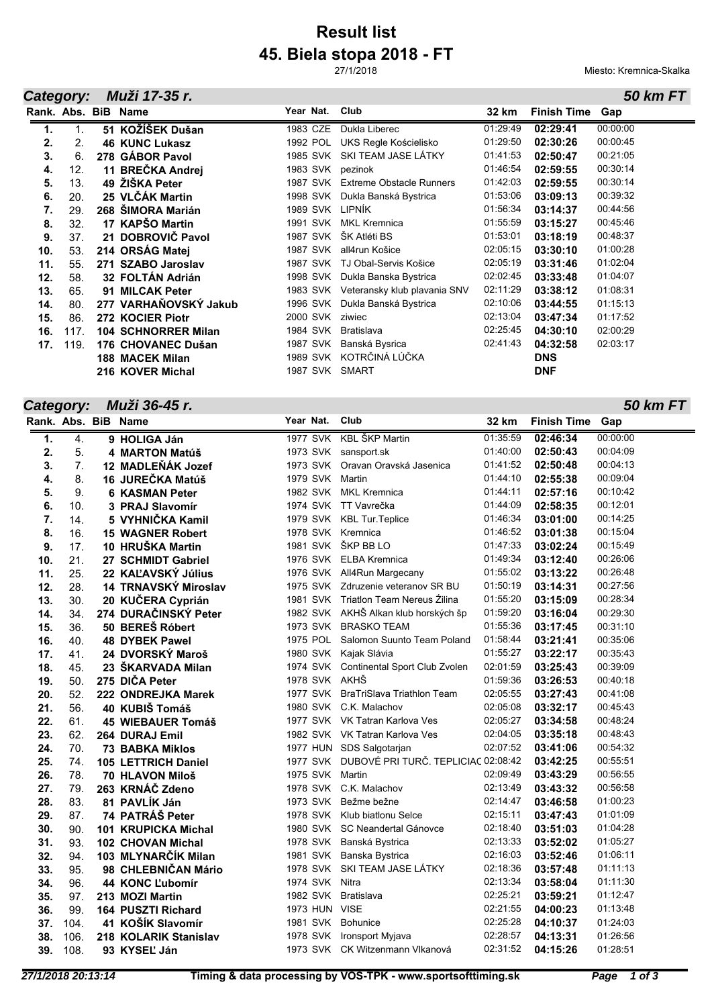# **45. Biela stopa 2018 - FT Result list**

27/1/2018

#### *Category: Muži 17-35 r.*

Miesto: Kremnica-Skalka

*50 km FT*

| Category: |                | Muži 17-35 r.              |                 |                                 |          |                    | <b>50 km FT</b> |
|-----------|----------------|----------------------------|-----------------|---------------------------------|----------|--------------------|-----------------|
|           |                | Rank, Abs. BiB Name        | Year Nat.       | Club                            | 32 km    | <b>Finish Time</b> | Gap             |
| 1.        | $\mathbf{1}$ . | 51 KOŽÍŠEK Dušan           | 1983 CZE        | Dukla Liberec                   | 01:29:49 | 02:29:41           | 00:00:00        |
| 2.        | 2.             | <b>46 KUNC Lukasz</b>      | 1992 POL        | UKS Regle Kościelisko           | 01:29:50 | 02:30:26           | 00:00:45        |
| 3.        | 6.             | 278 GÁBOR Pavol            | 1985 SVK        | SKI TEAM JASE LÁTKY             | 01:41:53 | 02:50:47           | 00:21:05        |
| 4.        | 12.            | 11 BREČKA Andrej           | 1983 SVK        | pezinok                         | 01:46:54 | 02:59:55           | 00:30:14        |
| 5.        | 13.            | 49 ŽIŠKA Peter             | <b>1987 SVK</b> | <b>Extreme Obstacle Runners</b> | 01:42:03 | 02:59:55           | 00:30:14        |
| 6.        | 20.            | 25 VLČÁK Martin            | 1998 SVK        | Dukla Banská Bystrica           | 01:53:06 | 03:09:13           | 00:39:32        |
| 7.        | 29.            | 268 ŠIMORA Marián          | 1989 SVK LIPNÍK |                                 | 01:56:34 | 03:14:37           | 00:44:56        |
| 8.        | 32.            | 17 KAPŠO Martin            | 1991 SVK        | <b>MKL Kremnica</b>             | 01:55:59 | 03:15:27           | 00:45:46        |
| 9.        | 37.            | 21 DOBROVIČ Pavol          | <b>1987 SVK</b> | ŠK Atléti BS                    | 01:53:01 | 03:18:19           | 00:48:37        |
| 10.       | 53.            | 214 ORSÁG Matej            | 1987 SVK        | all4run Košice                  | 02:05:15 | 03:30:10           | 01:00:28        |
| 11.       | 55.            | 271 SZABO Jaroslav         | <b>1987 SVK</b> | TJ Obal-Servis Košice           | 02:05:19 | 03:31:46           | 01:02:04        |
| 12.       | 58.            | 32 FOLTÁN Adrián           | 1998 SVK        | Dukla Banska Bystrica           | 02:02:45 | 03:33:48           | 01:04:07        |
| 13.       | 65.            | 91 MILCAK Peter            | 1983 SVK        | Veteransky klub plavania SNV    | 02:11:29 | 03:38:12           | 01:08:31        |
| 14.       | 80.            | 277 VARHAŇOVSKÝ Jakub      | 1996 SVK        | Dukla Banská Bystrica           | 02:10:06 | 03:44:55           | 01:15:13        |
| 15.       | 86.            | 272 KOCIER Piotr           | 2000 SVK        | ziwiec                          | 02:13:04 | 03:47:34           | 01:17:52        |
| 16.       | 117.           | <b>104 SCHNORRER Milan</b> | 1984 SVK        | <b>Bratislava</b>               | 02:25:45 | 04:30:10           | 02:00:29        |
| 17.       | 119.           | 176 CHOVANEC Dušan         | <b>1987 SVK</b> | Banská Bysrica                  | 02:41:43 | 04:32:58           | 02:03:17        |
|           |                | <b>188 MACEK Milan</b>     | 1989 SVK        | KOTRČINÁ LÚČKA                  |          | <b>DNS</b>         |                 |
|           |                | 216 KOVER Michal           | 1987 SVK        | SMART                           |          | <b>DNF</b>         |                 |

# *Category: Muži 36-45 r.*

|     |      | Rank. Abs. BiB Name        | Year Nat. |                | Club                                         | 32 km    | <b>Finish Time</b> | Gap      |
|-----|------|----------------------------|-----------|----------------|----------------------------------------------|----------|--------------------|----------|
| 1.  | 4.   | 9 HOLIGA Ján               |           |                | 1977 SVK KBL ŠKP Martin                      | 01:35:59 | 02:46:34           | 00:00:00 |
| 2.  | 5.   | 4 MARTON Matúš             |           |                | 1973 SVK sansport.sk                         | 01:40:00 | 02:50:43           | 00:04:09 |
| 3.  | 7.   | 12 MADLEŇÁK Jozef          |           |                | 1973 SVK Oravan Oravská Jasenica             | 01:41:52 | 02:50:48           | 00:04:13 |
| 4.  | 8.   | 16 JUREČKA Matúš           |           |                | 1979 SVK Martin                              | 01:44:10 | 02:55:38           | 00:09:04 |
| 5.  | 9.   | <b>6 KASMAN Peter</b>      |           |                | 1982 SVK MKL Kremnica                        | 01:44:11 | 02:57:16           | 00:10:42 |
| 6.  | 10.  | 3 PRAJ Slavomír            |           |                | 1974 SVK TT Vavrečka                         | 01:44:09 | 02:58:35           | 00:12:01 |
| 7.  | 14.  | 5 VYHNIČKA Kamil           |           |                | 1979 SVK KBL Tur. Teplice                    | 01:46:34 | 03:01:00           | 00:14:25 |
| 8.  | 16.  | <b>15 WAGNER Robert</b>    |           |                | 1978 SVK Kremnica                            | 01:46:52 | 03:01:38           | 00:15:04 |
| 9.  | 17.  | 10 HRUŠKA Martin           |           |                | 1981 SVK ŠKP BB LO                           | 01:47:33 | 03:02:24           | 00:15:49 |
| 10. | 21.  | 27 SCHMIDT Gabriel         |           |                | 1976 SVK ELBA Kremnica                       | 01:49:34 | 03:12:40           | 00:26:06 |
| 11. | 25.  | 22 KAĽAVSKÝ Július         |           |                | 1976 SVK All4Run Margecany                   | 01:55:02 | 03:13:22           | 00:26:48 |
| 12. | 28.  | 14 TRNAVSKÝ Miroslav       |           |                | 1975 SVK Zdruzenie veteranov SR BU           | 01:50:19 | 03:14:31           | 00:27:56 |
| 13. | 30.  | 20 KUČERA Cyprián          |           |                | 1981 SVK Triatlon Team Nereus Zilina         | 01:55:20 | 03:15:09           | 00:28:34 |
| 14. | 34.  | 274 DURAČINSKÝ Peter       |           |                | 1982 SVK AKHŠ Alkan klub horských šp         | 01:59:20 | 03:16:04           | 00:29:30 |
| 15. | 36.  | 50 BEREŠ Róbert            |           |                | 1973 SVK BRASKO TEAM                         | 01:55:36 | 03:17:45           | 00:31:10 |
| 16. | 40.  | <b>48 DYBEK Pawel</b>      |           |                | 1975 POL Salomon Suunto Team Poland          | 01:58:44 | 03:21:41           | 00:35:06 |
| 17. | 41.  | 24 DVORSKÝ Maroš           |           |                | 1980 SVK Kajak Slávia                        | 01:55:27 | 03:22:17           | 00:35:43 |
| 18. | 45.  | 23 ŠKARVADA Milan          |           |                | 1974 SVK Continental Sport Club Zvolen       | 02:01:59 | 03:25:43           | 00:39:09 |
| 19. | 50.  | 275 DIČA Peter             |           |                | 1978 SVK AKHŠ                                | 01:59:36 | 03:26:53           | 00:40:18 |
| 20. | 52.  | 222 ONDREJKA Marek         |           |                | 1977 SVK BraTriSlava Triathlon Team          | 02:05:55 | 03:27:43           | 00:41:08 |
| 21. | 56.  | 40 KUBIŠ Tomáš             |           |                | 1980 SVK C.K. Malachov                       | 02:05:08 | 03:32:17           | 00:45:43 |
| 22. | 61.  | 45 WIEBAUER Tomáš          |           |                | 1977 SVK VK Tatran Karlova Ves               | 02:05:27 | 03:34:58           | 00:48:24 |
| 23. | 62.  | 264 DURAJ Emil             |           |                | 1982 SVK VK Tatran Karlova Ves               | 02:04:05 | 03:35:18           | 00:48:43 |
| 24. | 70.  | <b>73 BABKA Miklos</b>     |           |                | 1977 HUN SDS Salgotarjan                     | 02:07:52 | 03:41:06           | 00:54:32 |
| 25. | 74.  | <b>105 LETTRICH Daniel</b> |           |                | 1977 SVK DUBOVÉ PRI TURČ. TEPLICIAC 02:08:42 |          | 03:42:25           | 00:55:51 |
| 26. | 78.  | 70 HLAVON Miloš            |           |                | 1975 SVK Martin                              | 02:09:49 | 03:43:29           | 00:56:55 |
| 27. | 79.  | 263 KRNÁČ Zdeno            |           |                | 1978 SVK C.K. Malachov                       | 02:13:49 | 03:43:32           | 00:56:58 |
| 28. | 83.  | 81 PAVLÍK Ján              |           |                | 1973 SVK Bežme bežne                         | 02:14:47 | 03:46:58           | 01:00:23 |
| 29. | 87.  | 74 PATRÁŠ Peter            |           |                | 1978 SVK Klub biatlonu Selce                 | 02:15:11 | 03:47:43           | 01:01:09 |
| 30. | 90.  | <b>101 KRUPICKA Michal</b> |           |                | 1980 SVK SC Neandertal Gánovce               | 02:18:40 | 03:51:03           | 01:04:28 |
| 31. | 93.  | <b>102 CHOVAN Michal</b>   |           |                | 1978 SVK Banská Bystrica                     | 02:13:33 | 03:52:02           | 01:05:27 |
| 32. | 94.  | 103 MLYNARČÍK Milan        |           |                | 1981 SVK Banska Bystrica                     | 02:16:03 | 03:52:46           | 01:06:11 |
| 33. | 95.  | 98 CHLEBNIČAN Mário        |           |                | 1978 SVK SKI TEAM JASE LÁTKY                 | 02:18:36 | 03:57:48           | 01:11:13 |
| 34. | 96.  | 44 KONC L'ubomír           |           | 1974 SVK Nitra |                                              | 02:13:34 | 03:58:04           | 01:11:30 |
| 35. | 97.  | 213 MOZI Martin            |           |                | 1982 SVK Bratislava                          | 02:25:21 | 03:59:21           | 01:12:47 |
| 36. | 99.  | 164 PUSZTI Richard         |           | 1973 HUN VISE  |                                              | 02:21:55 | 04:00:23           | 01:13:48 |
| 37. | 104. | 41 KOŠÍK Slavomír          |           | 1981 SVK       | <b>Bohunice</b>                              | 02:25:28 | 04:10:37           | 01:24:03 |
| 38. | 106. | 218 KOLARIK Stanislav      |           | 1978 SVK       | Ironsport Myjava                             | 02:28:57 | 04:13:31           | 01:26:56 |
| 39. | 108. | 93 KYSEĽ Ján               |           |                | 1973 SVK CK Witzenmann Vlkanová              | 02:31:52 | 04:15:26           | 01:28:51 |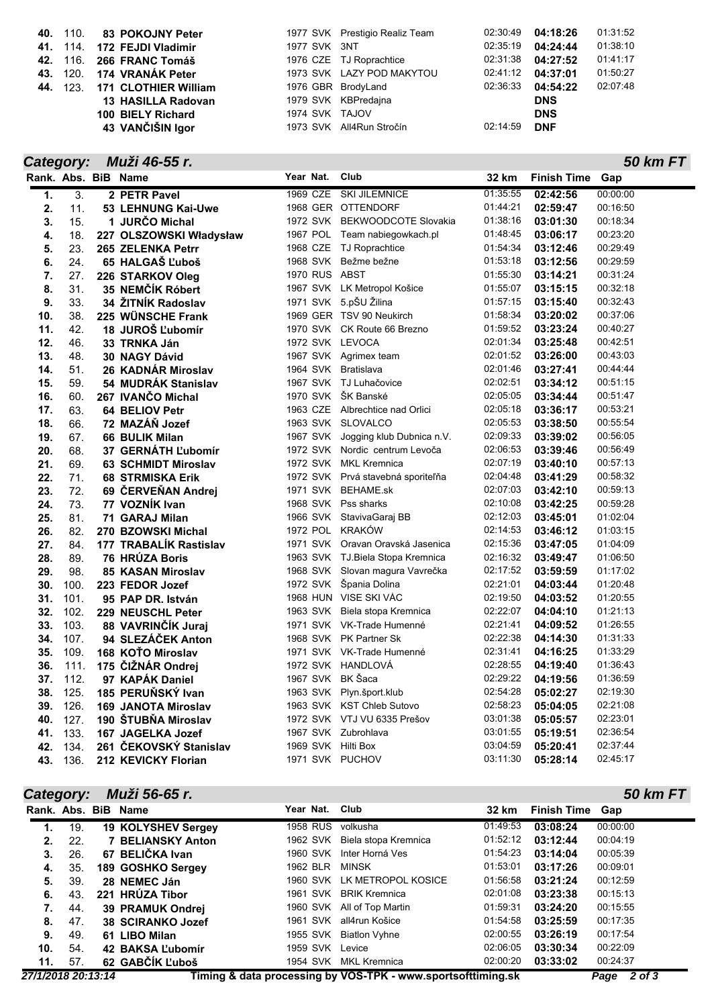| <b>40.</b> 110. | 83 POKOJNY Peter            |                | 1977 SVK Prestigio Realiz Team | 02:30:49 | 04:18:26   | 01:31:52 |
|-----------------|-----------------------------|----------------|--------------------------------|----------|------------|----------|
|                 | 41. 114. 172 FEJDI Vladimir | 1977 SVK 3NT   |                                | 02:35:19 | 04:24:44   | 01:38:10 |
|                 | 42. 116. 266 FRANC Tomáš    |                | 1976 CZE TJ Roprachtice        | 02:31:38 | 04:27:52   | 01:41:17 |
|                 | 43. 120. 174 VRANÁK Peter   |                | 1973 SVK LAZY POD MAKYTOU      | 02:41:12 | 04:37:01   | 01:50:27 |
| <b>44.</b> 123. | <b>171 CLOTHIER William</b> |                | 1976 GBR BrodyLand             | 02:36:33 | 04:54:22   | 02:07:48 |
|                 | 13 HASILLA Radovan          |                | 1979 SVK KBPredajna            |          | <b>DNS</b> |          |
|                 | 100 BIELY Richard           | 1974 SVK TAJOV |                                |          | <b>DNS</b> |          |
|                 | 43 VANČIŠIN Igor            |                | 1973 SVK All4Run Stročín       | 02:14:59 | <b>DNF</b> |          |

| Category: |                     | Muži 46-55 r.              |                     |                                    |          | 50 km FT               |
|-----------|---------------------|----------------------------|---------------------|------------------------------------|----------|------------------------|
|           | Rank. Abs. BiB Name |                            | Year Nat.           | Club                               | 32 km    | <b>Finish Time Gap</b> |
| 1.        | 3.                  | 2 PETR Pavel               | 1969 CZE            | <b>SKI JILEMNICE</b>               | 01:35:55 | 00:00:00<br>02:42:56   |
| 2.        | 11.                 | 53 LEHNUNG Kai-Uwe         |                     | 1968 GER OTTENDORF                 | 01:44:21 | 02:59:47<br>00:16:50   |
| 3.        | 15.                 | 1 JURČO Michal             |                     | 1972 SVK BEKWOODCOTE Slovakia      | 01:38:16 | 00:18:34<br>03:01:30   |
| 4.        | 18.                 | 227 OLSZOWSKI Władysław    |                     | 1967 POL Team nabiegowkach.pl      | 01:48:45 | 00:23:20<br>03:06:17   |
| 5.        | 23.                 | 265 ZELENKA Petrr          |                     | 1968 CZE TJ Roprachtice            | 01:54:34 | 00:29:49<br>03:12:46   |
| 6.        | 24.                 | 65 HALGAŠ Ľuboš            |                     | 1968 SVK Bežme bežne               | 01:53:18 | 00:29:59<br>03:12:56   |
| 7.        | 27.                 | 226 STARKOV Oleg           | 1970 RUS ABST       |                                    | 01:55:30 | 00:31:24<br>03:14:21   |
| 8.        | 31.                 | 35 NEMČÍK Róbert           |                     | 1967 SVK LK Metropol Košice        | 01:55:07 | 00:32:18<br>03:15:15   |
| 9.        | 33.                 | 34 ŽITNÍK Radoslav         |                     | 1971 SVK 5.pŠU Žilina              | 01:57:15 | 00:32:43<br>03:15:40   |
| 10.       | 38.                 | 225 WÜNSCHE Frank          |                     | 1969 GER TSV 90 Neukirch           | 01:58:34 | 00:37:06<br>03:20:02   |
| 11.       | 42.                 | 18 JUROŠ Ľubomír           |                     | 1970 SVK CK Route 66 Brezno        | 01:59:52 | 00:40:27<br>03:23:24   |
| 12.       | 46.                 | 33 TRNKA Ján               | 1972 SVK LEVOCA     |                                    | 02:01:34 | 00:42:51<br>03:25:48   |
| 13.       | 48.                 | 30 NAGY Dávid              |                     | 1967 SVK Agrimex team              | 02:01:52 | 00:43:03<br>03:26:00   |
| 14.       | 51.                 | 26 KADNÁR Miroslav         | 1964 SVK Bratislava |                                    | 02:01:46 | 00:44:44<br>03:27:41   |
| 15.       | 59.                 | 54 MUDRAK Stanislav        |                     | 1967 SVK TJ Luhačovice             | 02:02:51 | 00:51:15<br>03:34:12   |
| 16.       | 60.                 | 267 IVANČO Michal          |                     | 1970 SVK ŠK Banské                 | 02:05:05 | 03:34:44<br>00:51:47   |
| 17.       | 63.                 | 64 BELIOV Petr             |                     | 1963 CZE Albrechtice nad Orlici    | 02:05:18 | 00:53:21<br>03:36:17   |
| 18.       | 66.                 | 72 MAZÁŇ Jozef             |                     | 1963 SVK SLOVALCO                  | 02:05:53 | 03:38:50<br>00:55:54   |
| 19.       | 67.                 | 66 BULIK Milan             |                     | 1967 SVK Jogging klub Dubnica n.V. | 02:09:33 | 00:56:05<br>03:39:02   |
| 20.       | 68.                 | 37 GERNÁTH L'ubomír        |                     | 1972 SVK Nordic centrum Levoča     | 02:06:53 | 00:56:49<br>03:39:46   |
| 21.       | 69.                 | <b>63 SCHMIDT Miroslav</b> |                     | 1972 SVK MKL Kremnica              | 02:07:19 | 00:57:13<br>03:40:10   |
| 22.       | 71.                 | <b>68 STRMISKA Erik</b>    |                     | 1972 SVK Prvá stavebná sporiteľňa  | 02:04:48 | 00:58:32<br>03:41:29   |
| 23.       | 72.                 | 69 ČERVEŇAN Andrej         |                     | 1971 SVK BEHAME.sk                 | 02:07:03 | 00:59:13<br>03:42:10   |
| 24.       | 73.                 | 77 VOZNÍK Ivan             |                     | 1968 SVK Pss sharks                | 02:10:08 | 00:59:28<br>03:42:25   |
| 25.       | 81.                 | 71 GARAJ Milan             |                     | 1966 SVK StavivaGaraj BB           | 02:12:03 | 01:02:04<br>03:45:01   |
| 26.       | 82.                 | 270 BZOWSKI Michal         | 1972 POL KRAKÓW     |                                    | 02:14:53 | 01:03:15<br>03:46:12   |
| 27.       | 84.                 | 177 TRABALÍK Rastislav     |                     | 1971 SVK Oravan Oravská Jasenica   | 02:15:36 | 01:04:09<br>03:47:05   |
| 28.       | 89.                 | 76 HRÚZA Boris             |                     | 1963 SVK TJ. Biela Stopa Kremnica  | 02:16:32 | 01:06:50<br>03:49:47   |
| 29.       | 98.                 | 85 KASAN Miroslav          |                     | 1968 SVK Slovan magura Vavrečka    | 02:17:52 | 01:17:02<br>03:59:59   |
| 30.       | 100.                | 223 FEDOR Jozef            |                     | 1972 SVK Špania Dolina             | 02:21:01 | 01:20:48<br>04:03:44   |
| 31.       | 101.                | 95 PAP DR. István          |                     | 1968 HUN VISE SKI VÁC              | 02:19:50 | 01:20:55<br>04:03:52   |
| 32.       | 102.                | 229 NEUSCHL Peter          |                     | 1963 SVK Biela stopa Kremnica      | 02:22:07 | 01:21:13<br>04:04:10   |
| 33.       | 103.                | 88 VAVRINČÍK Juraj         |                     | 1971 SVK VK-Trade Humenné          | 02:21:41 | 01:26:55<br>04:09:52   |
| 34.       | 107.                | 94 SLEZÁČEK Anton          |                     | 1968 SVK PK Partner Sk             | 02:22:38 | 01:31:33<br>04:14:30   |
| 35.       | 109.                | 168 KOŤO Miroslav          |                     | 1971 SVK VK-Trade Humenné          | 02:31:41 | 01:33:29<br>04:16:25   |
| 36.       | 111.                | 175 ČIŽNÁR Ondrej          |                     | 1972 SVK HANDLOVÁ                  | 02:28:55 | 01:36:43<br>04:19:40   |
| 37.       | 112.                | 97 KAPÁK Daniel            | 1967 SVK BK Šaca    |                                    | 02:29:22 | 01:36:59<br>04:19:56   |
| 38.       | 125.                | 185 PERUŇSKÝ Ivan          |                     | 1963 SVK Plyn.šport.klub           | 02:54:28 | 02:19:30<br>05:02:27   |
| 39.       | 126.                | <b>169 JANOTA Miroslav</b> |                     | 1963 SVK KST Chleb Sutovo          | 02:58:23 | 02:21:08<br>05:04:05   |
| 40.       | 127.                | 190 ŠTUBŇA Miroslav        |                     | 1972 SVK VTJ VU 6335 Prešov        | 03:01:38 | 02:23:01<br>05:05:57   |
| 41.       | 133.                | 167 JAGELKA Jozef          |                     | 1967 SVK Zubrohlava                | 03:01:55 | 02:36:54<br>05:19:51   |
| 42.       | 134.                | 261 ČEKOVSKÝ Stanislav     | 1969 SVK Hilti Box  |                                    | 03:04:59 | 05:20:41<br>02:37:44   |
| 43.       | 136.                | 212 KEVICKY Florian        | 1971 SVK PUCHOV     |                                    | 03:11:30 | 05:28:14<br>02:45:17   |

| Category: |     | Muži 56-65 r.            |                 |                               |          |                        | 50 km FT |
|-----------|-----|--------------------------|-----------------|-------------------------------|----------|------------------------|----------|
|           |     | Rank, Abs. BiB Name      | Year Nat.       | Club                          | 32 km    | <b>Finish Time Gap</b> |          |
| 1.        | 19. | 19 KOLYSHEV Sergey       | <b>1958 RUS</b> | volkusha                      | 01:49:53 | 03:08:24               | 00:00:00 |
| 2.        | 22. | <b>7 BELIANSKY Anton</b> |                 | 1962 SVK Biela stopa Kremnica | 01:52:12 | 03:12:44               | 00:04:19 |
| 3.        | 26. | 67 BELIČKA Ivan          | 1960 SVK        | Inter Horná Ves               | 01:54:23 | 03:14:04               | 00:05:39 |
| 4.        | 35. | 189 GOSHKO Sergey        | 1962 BLR        | <b>MINSK</b>                  | 01:53:01 | 03:17:26               | 00:09:01 |
| 5.        | 39. | 28 NEMEC Ján             |                 | 1960 SVK LK METROPOL KOSICE   | 01:56:58 | 03:21:24               | 00:12:59 |
| 6.        | 43. | 221 HRÚZA Tibor          |                 | 1961 SVK BRIK Kremnica        | 02:01:08 | 03:23:38               | 00:15:13 |
| 7.        | 44. | 39 PRAMUK Ondrei         |                 | 1960 SVK All of Top Martin    | 01:59:31 | 03:24:20               | 00:15:55 |
| 8.        | 47. | 38 SCIRANKO Jozef        |                 | 1961 SVK all4run Košice       | 01:54:58 | 03:25:59               | 00:17:35 |
| 9.        | 49. | 61 LIBO Milan            |                 | 1955 SVK Biatlon Vyhne        | 02:00:55 | 03:26:19               | 00:17:54 |
| 10.       | 54. | 42 BAKSA L'ubomír        | 1959 SVK Levice |                               | 02:06:05 | 03:30:34               | 00:22:09 |
| 11.       | 57. | 62 GABČÍK Ľuboš          |                 | 1954 SVK MKL Kremnica         | 02:00:20 | 03:33:02               | 00:24:37 |

*27/1/2018 20:13:14* **Timing & data processing by VOS-TPK - www.sportsofttiming.sk** *Page 2 of 3*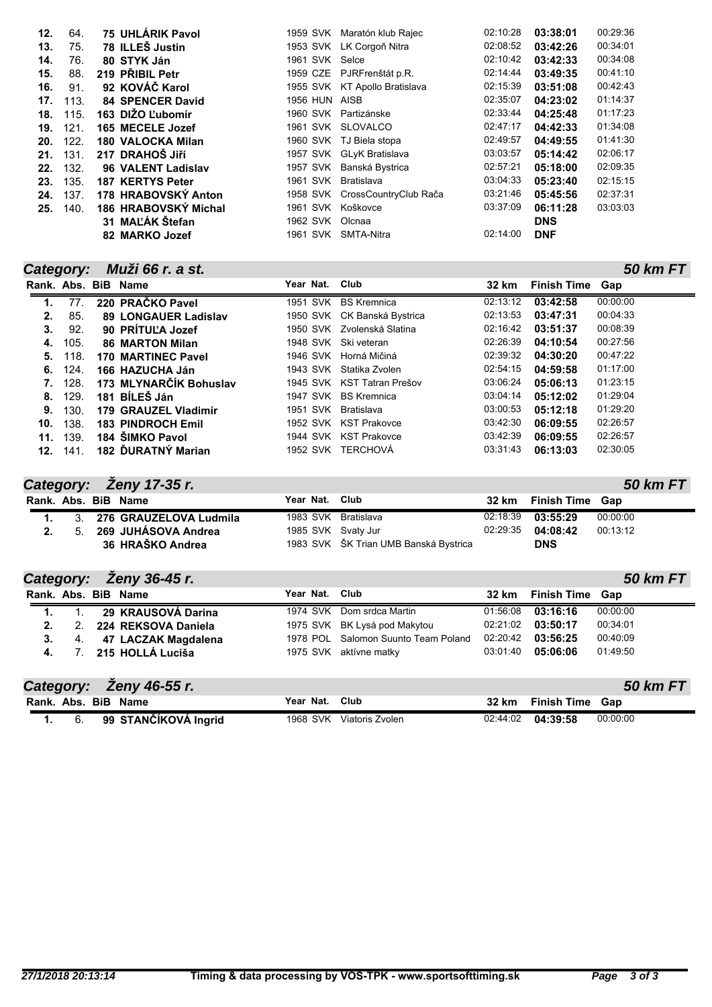| 12. | 64.  | 75 UHLÁRIK Pavol         |                     | 1959 SVK Maratón klub Rajec    | 02:10:28 | 03:38:01   | 00:29:36 |
|-----|------|--------------------------|---------------------|--------------------------------|----------|------------|----------|
| 13. | 75.  | 78 ILLES Justin          |                     | 1953 SVK LK Corgoň Nitra       | 02:08:52 | 03:42:26   | 00:34:01 |
| 14. | 76.  | 80 STYK Ján              | 1961 SVK Selce      |                                | 02:10:42 | 03:42:33   | 00:34:08 |
| 15. | 88.  | 219 PRIBIL Petr          |                     | 1959 CZE PJRFrenštát p.R.      | 02:14:44 | 03:49:35   | 00:41:10 |
| 16. | 91.  | 92 KOVÁČ Karol           |                     | 1955 SVK KT Apollo Bratislava  | 02:15:39 | 03:51:08   | 00:42:43 |
| 17. | 113. | <b>84 SPENCER David</b>  | 1956 HUN AISB       |                                | 02:35:07 | 04:23:02   | 01:14:37 |
| 18. | 115. | 163 DIŽO Ľubomír         |                     | 1960 SVK Partizánske           | 02:33:44 | 04:25:48   | 01:17:23 |
| 19. | 121. | 165 MECELE Jozef         |                     | 1961 SVK SLOVALCO              | 02:47:17 | 04:42:33   | 01:34:08 |
| 20. | 122. | <b>180 VALOCKA Milan</b> |                     | 1960 SVK TJ Biela stopa        | 02:49:57 | 04:49:55   | 01:41:30 |
| 21. | 131. | 217 DRAHOŠ JIří          |                     | 1957 SVK GLyK Bratislava       | 03:03:57 | 05:14:42   | 02:06:17 |
| 22. | 132. | 96 VALENT Ladislav       |                     | 1957 SVK Banská Bystrica       | 02:57:21 | 05:18:00   | 02:09:35 |
| 23. | 135. | 187 KERTYS Peter         | 1961 SVK Bratislava |                                | 03:04:33 | 05:23:40   | 02:15:15 |
| 24. | 137. | 178 HRABOVSKÝ Anton      |                     | 1958 SVK CrossCountryClub Rača | 03:21:46 | 05:45:56   | 02:37:31 |
| 25. | 140. | 186 HRABOVSKÝ Michal     | 1961 SVK Koškovce   |                                | 03:37:09 | 06:11:28   | 03:03:03 |
|     |      | 31 MAĽÁK Štefan          | 1962 SVK Olcnaa     |                                |          | <b>DNS</b> |          |
|     |      | 82 MARKO Jozef           | 1961 SVK            | SMTA-Nitra                     | 02:14:00 | <b>DNF</b> |          |

| Category: |      | Muži 66 r. a st.            |                     |                             |          |                        | 50 km FT |
|-----------|------|-----------------------------|---------------------|-----------------------------|----------|------------------------|----------|
|           |      | Rank. Abs. BiB Name         | Year Nat.           | Club                        | 32 km    | <b>Finish Time Gap</b> |          |
| 1.        | 77.  | 220 PRAČKO Pavel            |                     | 1951 SVK BS Kremnica        | 02:13:12 | 03:42:58               | 00:00:00 |
| 2.        | 85.  | <b>89 LONGAUER Ladislav</b> |                     | 1950 SVK CK Banská Bystrica | 02:13:53 | 03:47:31               | 00:04:33 |
| 3.        | 92.  | 90 PRÍTUĽA Jozef            |                     | 1950 SVK Zvolenská Slatina  | 02:16:42 | 03:51:37               | 00:08:39 |
| 4.        | 105. | <b>86 MARTON Milan</b>      |                     | 1948 SVK Ski veteran        | 02:26:39 | 04:10:54               | 00:27:56 |
| 5.        | 118. | <b>170 MARTINEC Pavel</b>   |                     | 1946 SVK Horná Mičiná       | 02:39:32 | 04:30:20               | 00:47:22 |
| 6.        | 124. | 166 HAZUCHA Ján             |                     | 1943 SVK Statika Zvolen     | 02:54:15 | 04:59:58               | 01:17:00 |
|           | 128. | 173 MLYNARČÍK Bohuslav      |                     | 1945 SVK KST Tatran Prešov  | 03:06:24 | 05:06:13               | 01:23:15 |
| 8.        | 129. | 181 BÍLES Ján               |                     | 1947 SVK BS Kremnica        | 03:04:14 | 05:12:02               | 01:29:04 |
| 9.        | 130. | 179 GRAUZEL Vladimír        | 1951 SVK Bratislava |                             | 03:00:53 | 05:12:18               | 01:29:20 |
| 10.       | 138. | <b>183 PINDROCH Emil</b>    |                     | 1952 SVK KST Prakovce       | 03:42:30 | 06:09:55               | 02:26:57 |
| 11.       | 139. | 184 ŠIMKO Pavol             |                     | 1944 SVK KST Prakovce       | 03:42:39 | 06:09:55               | 02:26:57 |
| 12.       | 141. | 182 DURATNÝ Marian          |                     | 1952 SVK TERCHOVÁ           | 03:31:43 | 06:13:03               | 02:30:05 |

| Category: Zeny 17-35 r.<br>50 km FT |  |  |                           |                     |                                       |          |                       |          |  |
|-------------------------------------|--|--|---------------------------|---------------------|---------------------------------------|----------|-----------------------|----------|--|
| Rank, Abs. BiB Name                 |  |  |                           | Year Nat. Club      |                                       |          | 32 km Finish Time Gap |          |  |
| $\mathbf{1}$ .                      |  |  | 3. 276 GRAUZELOVA Ludmila | 1983 SVK Bratislava |                                       |          |                       | 00:00:00 |  |
| 2.                                  |  |  | 5. 269 JUHÁSOVA Andrea    | 1985 SVK Svaty Jur  |                                       | 02:29:35 | 04:08:42              | 00:13:12 |  |
|                                     |  |  | 36 HRAŠKO Andrea          |                     | 1983 SVK ŠK Trian UMB Banská Bystrica |          | <b>DNS</b>            |          |  |

|    |                | Category: Zeny 36-45 r. |                |                                     |          |                        | 50 km FT |
|----|----------------|-------------------------|----------------|-------------------------------------|----------|------------------------|----------|
|    |                | Rank, Abs. BiB Name     | Year Nat. Club |                                     | 32 km    | <b>Finish Time Gap</b> |          |
|    |                | 29 KRAUSOVÁ Darina      |                | 1974 SVK Dom srdca Martin           | 01:56:08 | 03:16:16               | 00:00:00 |
| 2. | 2 <sub>1</sub> | 224 REKSOVA Daniela     |                | 1975 SVK BK Lysá pod Makytou        | 02:21:02 | 03:50:17               | 00:34:01 |
| 3. |                | 4. 47 LACZAK Magdalena  |                | 1978 POL Salomon Suunto Team Poland | 02:20:42 | 03:56:25               | 00:40:09 |
| 4. |                | 7. 215 HOLLÁ Luciša     |                | 1975 SVK aktívne matky              | 03:01:40 | 05:06:06               | 01:49:50 |

|     | Category: Ženy 46-55 r. |                |                 |          |                 | <b>50 km FT</b> |
|-----|-------------------------|----------------|-----------------|----------|-----------------|-----------------|
|     | Rank. Abs. BiB Name     | Year Nat. Club |                 | 32 km    | Finish Time Gap |                 |
| -6. | 99 STANČÍKOVÁ Ingrid    | 1968 SVK       | Viatoris Zvolen | 02:44:02 | 04:39:58        | 00:00:00        |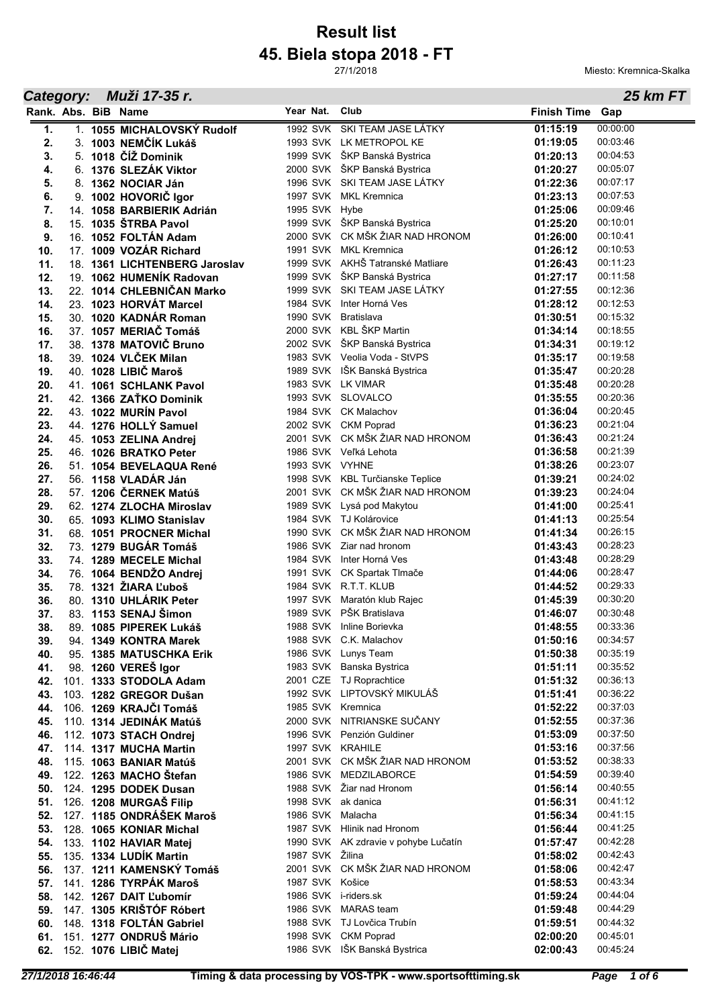# **45. Biela stopa 2018 - FT Result list**

27/1/2018

**Year** Nat. Club **Gap Gap Gap Gap Gap Gap Gap Gap Gap Gap Gap Gap** 

**Rank. Name BiB Finish Time Abs. Nat.**

*Category: Muži 17-35 r.*

Miesto: Kremnica-Skalka

*25 km FT*

#### **1.** 1. **1055 MICHALOVSKÝ Rudolf** 1992 SVK SKI TEAM JASE LÁTKY **01:15:19** 00:00:00 **2.** 3. **1003 NEMČÍK Lukáš** 1993 SVK LK METROPOL KE **01:19:05** 00:03:46 **3.** 5. **1018 ČÍŽ Dominik** 1999 SVK ŠKP Banská Bystrica **01:20:13** 00:04:53 **4.** 6. **1376 SLEZÁK Viktor** 2000 SVK ŠKP Banská Bystrica **01:20:27** 00:05:07 **5.** 8. **1362 NOCIAR Ján** 1996 SVK SKI TEAM JASE LÁTKY **01:22:36** 00:07:17 **6.** 9. **1002 HOVORIČ Igor** 1997 SVK MKL Kremnica **01:23:13** 00:07:53 **7.** 14. **1058 BARBIERIK Adrián** 1995 SVK Hybe **01:25:06** 00:09:46 **8.** 15. **1035 ŠTRBA Pavol** 1999 SVK ŠKP Banská Bystrica **01:25:20** 00:10:01 **9.** 16. **1052 FOLTÁN Adam** 2000 SVK CK MŠK ŽIAR NAD HRONOM **01:26:00** 00:10:41 **10.** 17. **1009 VOZÁR Richard** 1991 SVK MKL Kremnica **01:26:12** 00:10:53 **11.** 18. **1361 LICHTENBERG Jaroslav** 1999 SVK AKHŠ Tatranské Matliare **01:26:43** 00:11:23 **12.** 19. **1062 HUMENÍK Radovan** 1999 SVK ŠKP Banská Bystrica **01:27:17** 00:11:58 **13.** 22. **1014 CHLEBNIČAN Marko** 1999 SVK SKI TEAM JASE LÁTKY **01:27:55** 00:12:36 **14.** 23. **1023 HORVÁT Marcel** 1984 SVK Inter Horná Ves **01:28:12** 00:12:53 **15.** 30. **1020 KADNÁR Roman** 1990 SVK Bratislava **01:30:51** 00:15:32 **16.** 37. **1057 MERIAČ Tomáš** 2000 SVK KBL ŠKP Martin **01:34:14** 00:18:55 **17.** 38. **1378 MATOVIČ Bruno** 2002 SVK ŠKP Banská Bystrica **01:34:31** 00:19:12 **18.** 39. **1024 VLČEK Milan** 1983 SVK Veolia Voda - StVPS **01:35:17** 00:19:58 **19.** 40. **1028 LIBIČ Maroš** 1989 SVK IŠK Banská Bystrica **01:35:47** 00:20:28 **20.** 41. **1061 SCHLANK Pavol** 1983 SVK LK VIMAR **01:35:48** 00:20:28 **21.** 42. **1366 ZAŤKO Dominik** 1993 SVK SLOVALCO **01:35:55** 00:20:36 **22.** 43. **1022 MURÍN Pavol** 1984 SVK CK Malachov **01:36:04** 00:20:45 **23.** 44. **1276 HOLLÝ Samuel** 2002 SVK CKM Poprad **01:36:23** 00:21:04 **24.** 45. **1053 ZELINA Andrej** 2001 SVK CK MŠK ŽIAR NAD HRONOM **01:36:43** 00:21:24 **25.** 46. **1026 BRATKO Peter** 1986 SVK Veľká Lehota **01:36:58** 00:21:39 **26.** 51. **1054 BEVELAQUA René** 1993 SVK VYHNE **01:38:26** 00:23:07 **27.** 56. **1158 VLADÁR Ján** 1998 SVK KBL Turčianske Teplice **01:39:21** 00:24:02 **28.** 57. **1206 ČERNEK Matúš** 2001 SVK CK MŠK ŽIAR NAD HRONOM **01:39:23** 00:24:04 **29.** 62. **1274 ZLOCHA Miroslav** 1989 SVK Lysá pod Makytou **01:41:00** 00:25:41 **30.** 65. **1093 KLIMO Stanislav** 1984 SVK TJ Kolárovice **01:41:13** 00:25:54 **31.** 68. **1051 PROCNER Michal** 1990 SVK CK MŠK ŽIAR NAD HRONOM **01:41:34** 00:26:15 **32.** 73. **1279 BUGÁR Tomáš** 1986 SVK Ziar nad hronom **01:43:43** 00:28:23 **33.** 74. **1289 MECELE Michal** 1984 SVK Inter Horná Ves **01:43:48** 00:28:29 **34.** 76. **1064 BENDŽO Andrej** 1991 SVK CK Spartak Tlmače **01:44:06** 00:28:47 **35.** 78. **1321 ŽIARA Ľuboš** 1984 SVK R.T.T. KLUB **01:44:52** 00:29:33 **36.** 80. **1310 UHLÁRIK Peter** 1997 SVK Maratón klub Rajec **01:45:39** 00:30:20 **37.** 83. **1153 SENAJ Šimon** 1989 SVK PŠK Bratislava **01:46:07** 00:30:48 **38.** 89. **1085 PIPEREK Lukáš** 1988 SVK Inline Borievka **01:48:55** 00:33:36 **39.** 94. **1349 KONTRA Marek** 1988 SVK C.K. Malachov **1988 CONTRA Marek** 1988 SVK C.K. Malachov **1988 CONTRA 1988 CONTRA 1988** CONTRA 1988 CONTRA 1988 CONTRA 1988 CONTRA 1988 CONTRA 1988 CONTRA 1988 CONTRA 1998 CONTRA 1998 **40.** 95. **1385 MATUSCHKA Erik** 1986 SVK Lunys Team **01:50:38** 00:35:19 **41.** 98. **1260 VEREŠ Igor** 1983 SVK Banska Bystrica **01:51:11** 00:35:52 **42.** 101. **1333 STODOLA Adam** 2001 CZE TJ Roprachtice **01:51:32** 00:36:13 **43.** 103. **1282 GREGOR Dušan** 1992 SVK LIPTOVSKÝ MIKULÁŠ **01:51:41** 00:36:22 **44.** 106. **1269 KRAJČI Tomáš** 1985 SVK Kremnica **01:52:22** 00:37:03 **45.** 110. **1314 JEDINÁK Matúš** 2000 SVK NITRIANSKE SUČANY **01:52:55** 00:37:36 **46.** 112. **1073 STACH Ondrej** 1996 SVK Penzión Guldiner **01:53:09** 00:37:50 **47.** 114. **1317 MUCHA Martin** 1997 SVK KRAHILE **01:53:16** 00:37:56 **48.** 115. **1063 BANIAR Matúš** 2001 SVK CK MŠK ŽIAR NAD HRONOM **01:53:52** 00:38:33 **49.** 122. **1263 MACHO Štefan** 1986 SVK MEDZILABORCE **01:54:59** 00:39:40 **50.** 124. **1295 DODEK Dusan** 1988 SVK Žiar nad Hronom **01:56:14** 00:40:55 **51.** 126. **1208 MURGAŠ Filip** 1998 SVK ak danica **1998 SVK ak danica** 1998 SVK ak danica **52.** 127. **1185 ONDRÁŠEK Maroš** 1986 SVK Malacha **01:56:34** 00:41:15 **53.** 128. **1065 KONIAR Michal** 1987 SVK Hlinik nad Hronom **01:56:44** 00:41:25<br>**54.** 133. **1102 HAVIAR Matei** 1990 SVK AK zdravie v pohybe Lučatín **11:57:47** 00:42:28 **54.** 133. **1102 HAVIAR Matej** 1990 SVK AK zdravie v pohybe Lučatín **01:57:47** 00:42:28 **55.** 135. **1334 LUDÍK Martin** 1987 SVK Žilina **01:58:02** 00:42:43 **56.** 137. **1211 KAMENSKÝ Tomáš** 2001 SVK CK MŠK ŽIAR NAD HRONOM **01:58:06** 00:42:47 **57.** 141. **1286 TYRPÁK Maroš** 1987 SVK Košice **01:58:53** 00:43:34 **58.** 142. **1267 DAIT Ľubomír** 1986 SVK i-riders.sk **01:59:24** 00:44:04 **59.** 147. **1305 KRIŠTÓF Róbert** 1986 SVK MARAS team **1986 1159:48** 00:44:29<br>**60.** 148. 1318 EOLTÁN Gabriel 1988 SVK TJLovějca Trubín (11:59:51 00:44:32 **60.** 148. **1318 FOLTÁN Gabriel** 1988 SVK TJ Lovčica Trubín **01:59:51** 00:44:32 **61.** 151. **1277 ONDRUŠ Mário** 1998 SVK CKM Poprad **02:00:20** 00:45:01 **62.** 152. **1076 LIBIČ Matej** 1986 SVK IŠK Banská Bystrica **02:00:43** 00:45:24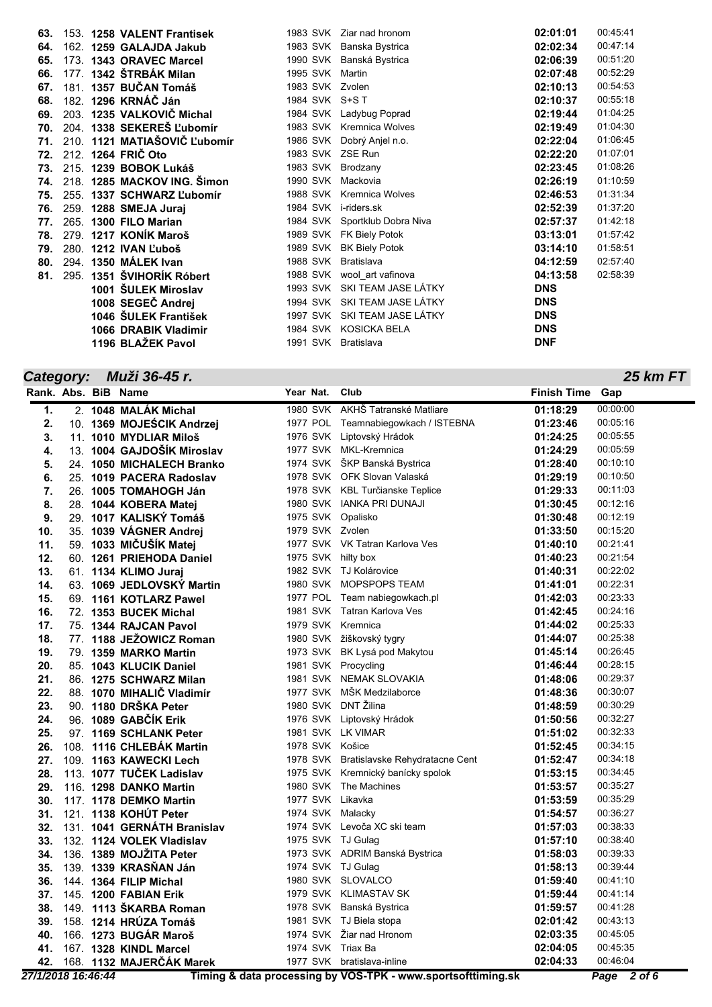|  |                                                                                                                                                                                                                                                                                                                                                                                                                                                                                                                                                                                                                                                                  |          | 02:01:01                                                                                                                                                                                                                                                                                                                                                                                                                                                                                                                                                                                                                                         | 00:45:41                                                                                                                                   |
|--|------------------------------------------------------------------------------------------------------------------------------------------------------------------------------------------------------------------------------------------------------------------------------------------------------------------------------------------------------------------------------------------------------------------------------------------------------------------------------------------------------------------------------------------------------------------------------------------------------------------------------------------------------------------|----------|--------------------------------------------------------------------------------------------------------------------------------------------------------------------------------------------------------------------------------------------------------------------------------------------------------------------------------------------------------------------------------------------------------------------------------------------------------------------------------------------------------------------------------------------------------------------------------------------------------------------------------------------------|--------------------------------------------------------------------------------------------------------------------------------------------|
|  |                                                                                                                                                                                                                                                                                                                                                                                                                                                                                                                                                                                                                                                                  |          | 02:02:34                                                                                                                                                                                                                                                                                                                                                                                                                                                                                                                                                                                                                                         | 00:47:14                                                                                                                                   |
|  |                                                                                                                                                                                                                                                                                                                                                                                                                                                                                                                                                                                                                                                                  |          | 02:06:39                                                                                                                                                                                                                                                                                                                                                                                                                                                                                                                                                                                                                                         | 00:51:20                                                                                                                                   |
|  |                                                                                                                                                                                                                                                                                                                                                                                                                                                                                                                                                                                                                                                                  |          | 02:07:48                                                                                                                                                                                                                                                                                                                                                                                                                                                                                                                                                                                                                                         | 00:52:29                                                                                                                                   |
|  |                                                                                                                                                                                                                                                                                                                                                                                                                                                                                                                                                                                                                                                                  |          | 02:10:13                                                                                                                                                                                                                                                                                                                                                                                                                                                                                                                                                                                                                                         | 00:54:53                                                                                                                                   |
|  |                                                                                                                                                                                                                                                                                                                                                                                                                                                                                                                                                                                                                                                                  |          | 02:10:37                                                                                                                                                                                                                                                                                                                                                                                                                                                                                                                                                                                                                                         | 00:55:18                                                                                                                                   |
|  |                                                                                                                                                                                                                                                                                                                                                                                                                                                                                                                                                                                                                                                                  |          | 02:19:44                                                                                                                                                                                                                                                                                                                                                                                                                                                                                                                                                                                                                                         | 01:04:25                                                                                                                                   |
|  |                                                                                                                                                                                                                                                                                                                                                                                                                                                                                                                                                                                                                                                                  |          | 02:19:49                                                                                                                                                                                                                                                                                                                                                                                                                                                                                                                                                                                                                                         | 01:04:30                                                                                                                                   |
|  |                                                                                                                                                                                                                                                                                                                                                                                                                                                                                                                                                                                                                                                                  |          | 02:22:04                                                                                                                                                                                                                                                                                                                                                                                                                                                                                                                                                                                                                                         | 01:06:45                                                                                                                                   |
|  |                                                                                                                                                                                                                                                                                                                                                                                                                                                                                                                                                                                                                                                                  |          | 02:22:20                                                                                                                                                                                                                                                                                                                                                                                                                                                                                                                                                                                                                                         | 01:07:01                                                                                                                                   |
|  |                                                                                                                                                                                                                                                                                                                                                                                                                                                                                                                                                                                                                                                                  | Brodzany | 02:23:45                                                                                                                                                                                                                                                                                                                                                                                                                                                                                                                                                                                                                                         | 01:08:26                                                                                                                                   |
|  |                                                                                                                                                                                                                                                                                                                                                                                                                                                                                                                                                                                                                                                                  |          | 02:26:19                                                                                                                                                                                                                                                                                                                                                                                                                                                                                                                                                                                                                                         | 01:10:59                                                                                                                                   |
|  |                                                                                                                                                                                                                                                                                                                                                                                                                                                                                                                                                                                                                                                                  |          | 02:46:53                                                                                                                                                                                                                                                                                                                                                                                                                                                                                                                                                                                                                                         | 01:31:34                                                                                                                                   |
|  |                                                                                                                                                                                                                                                                                                                                                                                                                                                                                                                                                                                                                                                                  |          |                                                                                                                                                                                                                                                                                                                                                                                                                                                                                                                                                                                                                                                  | 01:37:20                                                                                                                                   |
|  |                                                                                                                                                                                                                                                                                                                                                                                                                                                                                                                                                                                                                                                                  |          |                                                                                                                                                                                                                                                                                                                                                                                                                                                                                                                                                                                                                                                  | 01:42:18                                                                                                                                   |
|  |                                                                                                                                                                                                                                                                                                                                                                                                                                                                                                                                                                                                                                                                  |          |                                                                                                                                                                                                                                                                                                                                                                                                                                                                                                                                                                                                                                                  | 01:57:42                                                                                                                                   |
|  |                                                                                                                                                                                                                                                                                                                                                                                                                                                                                                                                                                                                                                                                  |          |                                                                                                                                                                                                                                                                                                                                                                                                                                                                                                                                                                                                                                                  | 01:58:51                                                                                                                                   |
|  |                                                                                                                                                                                                                                                                                                                                                                                                                                                                                                                                                                                                                                                                  |          |                                                                                                                                                                                                                                                                                                                                                                                                                                                                                                                                                                                                                                                  | 02:57:40                                                                                                                                   |
|  |                                                                                                                                                                                                                                                                                                                                                                                                                                                                                                                                                                                                                                                                  |          |                                                                                                                                                                                                                                                                                                                                                                                                                                                                                                                                                                                                                                                  | 02:58:39                                                                                                                                   |
|  |                                                                                                                                                                                                                                                                                                                                                                                                                                                                                                                                                                                                                                                                  |          |                                                                                                                                                                                                                                                                                                                                                                                                                                                                                                                                                                                                                                                  |                                                                                                                                            |
|  |                                                                                                                                                                                                                                                                                                                                                                                                                                                                                                                                                                                                                                                                  |          |                                                                                                                                                                                                                                                                                                                                                                                                                                                                                                                                                                                                                                                  |                                                                                                                                            |
|  |                                                                                                                                                                                                                                                                                                                                                                                                                                                                                                                                                                                                                                                                  |          |                                                                                                                                                                                                                                                                                                                                                                                                                                                                                                                                                                                                                                                  |                                                                                                                                            |
|  |                                                                                                                                                                                                                                                                                                                                                                                                                                                                                                                                                                                                                                                                  |          |                                                                                                                                                                                                                                                                                                                                                                                                                                                                                                                                                                                                                                                  |                                                                                                                                            |
|  |                                                                                                                                                                                                                                                                                                                                                                                                                                                                                                                                                                                                                                                                  |          |                                                                                                                                                                                                                                                                                                                                                                                                                                                                                                                                                                                                                                                  |                                                                                                                                            |
|  | 153. 1258 VALENT Frantisek<br>162. 1259 GALAJDA Jakub<br>173. 1343 ORAVEC Marcel<br>177. 1342 ŠTRBÁK Milan<br>181. 1357 BUČAN Tomáš<br>182. 1296 KRNÁČ Ján<br>203. 1235 VALKOVIČ Michal<br>204. 1338 SEKEREŠ Ľubomír<br>210. 1121 MATIAŠOVIČ Ľubomír<br>72. 212. 1264 FRIC Oto<br>215. 1239 BOBOK Lukáš<br><b>74. 218. 1285 MACKOV ING. Simon</b><br>255. 1337 SCHWARZ L'ubomír<br>259. 1288 SMEJA Juraj<br>265. 1300 FILO Marian<br>279. 1217 KONIK Maroš<br>280. 1212 IVAN L'uboš<br>294. 1350 MÁLEK Ivan<br>295. 1351 ŠVIHORÍK Róbert<br>1001 ŠULEK Miroslav<br>1008 SEGEČ Andrej<br>1046 ŠULEK František<br><b>1066 DRABIK Vladimir</b><br>1196 BLAŽEK Pavol |          | 1983 SVK Ziar nad hronom<br>1983 SVK Banska Bystrica<br>1990 SVK Banská Bystrica<br>1995 SVK Martin<br>1983 SVK Zvolen<br>1984 SVK S+ST<br>1984 SVK Ladybug Poprad<br>1983 SVK Kremnica Wolves<br>1986 SVK Dobrý Anjel n.o.<br>1983 SVK ZSE Run<br>1983 SVK<br>1990 SVK Mackovia<br>1988 SVK Kremnica Wolves<br>1984 SVK i-riders.sk<br>1984 SVK Sportklub Dobra Niva<br>1989 SVK FK Biely Potok<br>1989 SVK<br><b>BK Biely Potok</b><br>1988 SVK<br>Bratislava<br>1988 SVK wool_art vafinova<br>1993 SVK SKI TEAM JASE LÁTKY<br>1994 SVK SKI TEAM JASE LÁTKY<br>1997 SVK SKI TEAM JASE LÁTKY<br>1984 SVK KOSICKA BELA<br>1991 SVK<br>Bratislava | 02:52:39<br>02:57:37<br>03:13:01<br>03:14:10<br>04:12:59<br>04:13:58<br><b>DNS</b><br><b>DNS</b><br><b>DNS</b><br><b>DNS</b><br><b>DNF</b> |

#### *Category: Muži 36-45 r.*

|     |  | Rank. Abs. BiB Name         | Year Nat.           | Club                                    | <b>Finish Time</b> | Gap      |
|-----|--|-----------------------------|---------------------|-----------------------------------------|--------------------|----------|
| 1.  |  | 2. 1048 MALÁK Michal        |                     | 1980 SVK AKHŠ Tatranské Matliare        | 01:18:29           | 00:00:00 |
| 2.  |  | 10. 1369 MOJEŚCIK Andrzej   |                     | 1977 POL Teamnabiegowkach / ISTEBNA     | 01:23:46           | 00:05:16 |
| 3.  |  | 11. 1010 MYDLIAR Miloš      |                     | 1976 SVK Liptovský Hrádok               | 01:24:25           | 00:05:55 |
| 4.  |  | 13. 1004 GAJDOŠÍK Miroslav  |                     | 1977 SVK MKL-Kremnica                   | 01:24:29           | 00:05:59 |
| 5.  |  | 24. 1050 MICHALECH Branko   |                     | 1974 SVK ŠKP Banská Bystrica            | 01:28:40           | 00:10:10 |
| 6.  |  | 25. 1019 PACERA Radoslav    |                     | 1978 SVK OFK Slovan Valaská             | 01:29:19           | 00:10:50 |
| 7.  |  | 26. 1005 TOMAHOGH Ján       |                     | 1978 SVK KBL Turčianske Teplice         | 01:29:33           | 00:11:03 |
| 8.  |  | 28. 1044 KOBERA Matej       |                     | 1980 SVK IANKA PRI DUNAJI               | 01:30:45           | 00:12:16 |
| 9.  |  | 29. 1017 KALISKÝ Tomáš      | 1975 SVK Opalisko   |                                         | 01:30:48           | 00:12:19 |
| 10. |  | 35. 1039 VÁGNER Andrej      | 1979 SVK Zvolen     |                                         | 01:33:50           | 00:15:20 |
| 11. |  | 59. 1033 MIČUŠÍK Matej      |                     | 1977 SVK VK Tatran Karlova Ves          | 01:40:10           | 00:21:41 |
| 12. |  | 60. 1261 PRIEHODA Daniel    | 1975 SVK hilty box  |                                         | 01:40:23           | 00:21:54 |
| 13. |  | 61. 1134 KLIMO Juraj        |                     | 1982 SVK TJ Kolárovice                  | 01:40:31           | 00:22:02 |
| 14. |  | 63. 1069 JEDLOVSKÝ Martin   |                     | 1980 SVK MOPSPOPS TEAM                  | 01:41:01           | 00:22:31 |
| 15. |  | 69. 1161 KOTLARZ Pawel      |                     | 1977 POL Team nabiegowkach.pl           | 01:42:03           | 00:23:33 |
| 16. |  | 72. 1353 BUCEK Michal       |                     | 1981 SVK Tatran Karlova Ves             | 01:42:45           | 00:24:16 |
| 17. |  | 75. 1344 RAJCAN Pavol       | 1979 SVK Kremnica   |                                         | 01:44:02           | 00:25:33 |
| 18. |  | 77. 1188 JEŽOWICZ Roman     |                     | 1980 SVK žiškovský tygry                | 01:44:07           | 00:25:38 |
| 19. |  | 79. 1359 MARKO Martin       |                     | 1973 SVK BK Lysá pod Makytou            | 01:45:14           | 00:26:45 |
| 20. |  | 85. 1043 KLUCIK Daniel      | 1981 SVK Procycling |                                         | 01:46:44           | 00:28:15 |
| 21. |  | 86. 1275 SCHWARZ Milan      |                     | 1981 SVK NEMAK SLOVAKIA                 | 01:48:06           | 00:29:37 |
| 22. |  | 88. 1070 MIHALIČ Vladimír   |                     | 1977 SVK MŠK Medzilaborce               | 01:48:36           | 00:30:07 |
| 23. |  | 90. 1180 DRŠKA Peter        | 1980 SVK DNT Žilina |                                         | 01:48:59           | 00:30:29 |
| 24. |  | 96. 1089 GABČÍK Erik        |                     | 1976 SVK Liptovský Hrádok               | 01:50:56           | 00:32:27 |
| 25. |  | 97. 1169 SCHLANK Peter      | 1981 SVK LK VIMAR   |                                         | 01:51:02           | 00:32:33 |
| 26. |  | 108. 1116 CHLEBÁK Martin    | 1978 SVK Košice     |                                         | 01:52:45           | 00:34:15 |
| 27. |  | 109. 1163 KAWECKI Lech      |                     | 1978 SVK Bratislavske Rehydratacne Cent | 01:52:47           | 00:34:18 |
| 28. |  | 113. 1077 TUČEK Ladislav    |                     | 1975 SVK Kremnický banícky spolok       | 01:53:15           | 00:34:45 |
| 29. |  | 116. 1298 DANKO Martin      |                     | 1980 SVK The Machines                   | 01:53:57           | 00:35:27 |
| 30. |  | 117. 1178 DEMKO Martin      | 1977 SVK Likavka    |                                         | 01:53:59           | 00:35:29 |
| 31. |  | 121. 1138 KOHÚT Peter       | 1974 SVK Malacky    |                                         | 01:54:57           | 00:36:27 |
| 32. |  | 131. 1041 GERNÁTH Branislav |                     | 1974 SVK Levoča XC ski team             | 01:57:03           | 00:38:33 |
| 33. |  | 132. 1124 VOLEK Vladislav   | 1975 SVK TJ Gulag   |                                         | 01:57:10           | 00:38:40 |
| 34. |  | 136. 1389 MOJŽITA Peter     |                     | 1973 SVK ADRIM Banská Bystrica          | 01:58:03           | 00:39:33 |
| 35. |  | 139. 1339 KRASŇAN Ján       | 1974 SVK TJ Gulag   |                                         | 01:58:13           | 00:39:44 |
| 36. |  | 144. 1364 FILIP Michal      |                     | 1980 SVK SLOVALCO                       | 01:59:40           | 00:41:10 |
| 37. |  | 145. 1200 FABIAN Erik       |                     | 1979 SVK KLIMASTAV SK                   | 01:59:44           | 00:41:14 |
| 38. |  | 149. 1113 ŠKARBA Roman      |                     | 1978 SVK Banská Bystrica                | 01:59:57           | 00:41:28 |
| 39. |  | 158. 1214 HRÚZA Tomáš       |                     | 1981 SVK TJ Biela stopa                 | 02:01:42           | 00:43:13 |
| 40. |  | 166. 1273 BUGÁR Maroš       |                     | 1974 SVK Žiar nad Hronom                | 02:03:35           | 00:45:05 |
|     |  | 41. 167. 1328 KINDL Marcel  | 1974 SVK Triax Ba   |                                         | 02:04:05           | 00:45:35 |

**42.** 168. **1132 MAJERČÁK Marek** 1977 SVK bratislava-inline **02:04:33** 00:46:04 *27/1/2018 16:46:44* **Timing & data processing by VOS-TPK - www.sportsofttiming.sk** *Page 2 of 6*

*25 km FT*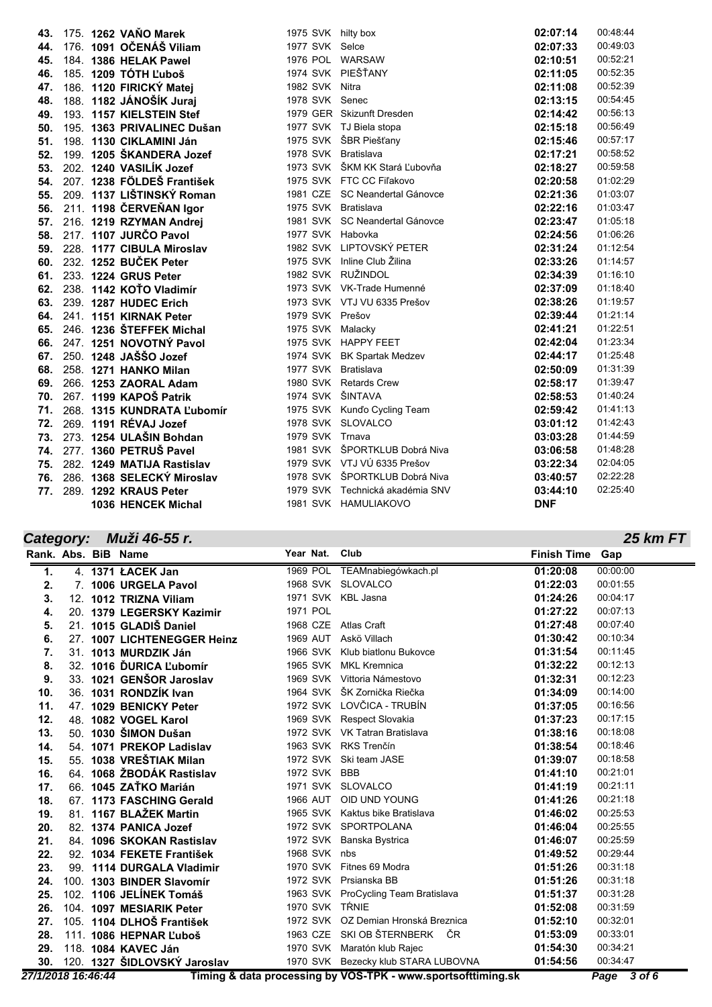| 43. |  | 175. 1262 VAŇO Marek         | 1975 SVK hilty box  |                                 | 02:07:14   | 00:48:44 |
|-----|--|------------------------------|---------------------|---------------------------------|------------|----------|
| 44. |  | 176. 1091 OČENÁŠ Viliam      | 1977 SVK Selce      |                                 | 02:07:33   | 00:49:03 |
| 45. |  | 184. 1386 HELAK Pawel        | 1976 POL WARSAW     |                                 | 02:10:51   | 00:52:21 |
| 46. |  | 185. 1209 TÓTH L'uboš        |                     | 1974 SVK PIEŠŤANY               | 02:11:05   | 00:52:35 |
| 47. |  | 186. 1120 FIRICKÝ Matej      | 1982 SVK Nitra      |                                 | 02:11:08   | 00:52:39 |
| 48. |  | 188. 1182 JÁNOŠÍK Juraj      | 1978 SVK Senec      |                                 | 02:13:15   | 00:54:45 |
| 49. |  | 193. 1157 KIELSTEIN Stef     |                     | 1979 GER Skizunft Dresden       | 02:14:42   | 00:56:13 |
| 50. |  | 195. 1363 PRIVALINEC Dušan   |                     | 1977 SVK TJ Biela stopa         | 02:15:18   | 00:56:49 |
| 51. |  | 198. 1130 CIKLAMINI Ján      |                     | 1975 SVK ŠBR Piešťany           | 02:15:46   | 00:57:17 |
| 52. |  | 199. 1205 ŠKANDERA Jozef     | 1978 SVK Bratislava |                                 | 02:17:21   | 00:58:52 |
| 53. |  | 202. 1240 VASILÍK Jozef      |                     | 1973 SVK ŠKM KK Stará Ľubovňa   | 02:18:27   | 00:59:58 |
| 54. |  | 207. 1238 FÖLDEŠ František   |                     | 1975 SVK FTC CC Fil'akovo       | 02:20:58   | 01:02:29 |
| 55. |  | 209. 1137 LIŠTINSKÝ Roman    |                     | 1981 CZE SC Neandertal Gánovce  | 02:21:36   | 01:03:07 |
| 56. |  | 211. 1198 ČERVEŇAN Igor      | 1975 SVK Bratislava |                                 | 02:22:16   | 01:03:47 |
| 57. |  | 216. 1219 RZYMAN Andrej      |                     | 1981 SVK SC Neandertal Gánovce  | 02:23:47   | 01:05:18 |
| 58. |  | 217. 1107 JURČO Pavol        | 1977 SVK Habovka    |                                 | 02:24:56   | 01:06:26 |
| 59. |  | 228. 1177 CIBULA Miroslav    |                     | 1982 SVK LIPTOVSKÝ PETER        | 02:31:24   | 01:12:54 |
| 60. |  | 232. 1252 BUČEK Peter        |                     | 1975 SVK Inline Club Žilina     | 02:33:26   | 01:14:57 |
| 61. |  | 233. 1224 GRUS Peter         |                     | 1982 SVK RUŽINDOL               | 02:34:39   | 01:16:10 |
| 62. |  | 238. 1142 KOTO Vladimír      |                     | 1973 SVK VK-Trade Humenné       | 02:37:09   | 01:18:40 |
| 63. |  | 239. 1287 HUDEC Erich        |                     | 1973 SVK VTJ VU 6335 Prešov     | 02:38:26   | 01:19:57 |
|     |  | 64. 241. 1151 KIRNAK Peter   | 1979 SVK Prešov     |                                 | 02:39:44   | 01:21:14 |
|     |  | 65. 246. 1236 ŠTEFFEK Michal | 1975 SVK Malacky    |                                 | 02:41:21   | 01:22:51 |
|     |  | 66. 247. 1251 NOVOTNÝ Pavol  |                     | 1975 SVK HAPPY FEET             | 02:42:04   | 01:23:34 |
|     |  | 67. 250. 1248 JAŠŠO Jozef    |                     | 1974 SVK BK Spartak Medzev      | 02:44:17   | 01:25:48 |
|     |  | 68. 258. 1271 HANKO Milan    | 1977 SVK Bratislava |                                 | 02:50:09   | 01:31:39 |
| 69. |  | 266. 1253 ZAORAL Adam        |                     | 1980 SVK Retards Crew           | 02:58:17   | 01:39:47 |
| 70. |  | 267. 1199 KAPOŠ Patrik       | 1974 SVK ŠINTAVA    |                                 | 02:58:53   | 01:40:24 |
| 71. |  | 268. 1315 KUNDRATA L'ubomír  |                     | 1975 SVK Kunďo Cycling Team     | 02:59:42   | 01:41:13 |
| 72. |  | 269. 1191 RÉVAJ Jozef        |                     | 1978 SVK SLOVALCO               | 03:01:12   | 01:42:43 |
| 73. |  | 273. 1254 ULAŠIN Bohdan      | 1979 SVK Trnava     |                                 | 03:03:28   | 01:44:59 |
| 74. |  | 277. 1360 PETRUŠ Pavel       |                     | 1981 SVK ŠPORTKLUB Dobrá Niva   | 03:06:58   | 01:48:28 |
| 75. |  | 282. 1249 MATIJA Rastislav   |                     | 1979 SVK VTJ VÚ 6335 Prešov     | 03:22:34   | 02:04:05 |
| 76. |  | 286. 1368 SELECKÝ Miroslav   |                     | 1978 SVK ŠPORTKLUB Dobrá Niva   | 03:40:57   | 02:22:28 |
| 77. |  | 289. 1292 KRAUS Peter        |                     | 1979 SVK Technická akadémia SNV | 03:44:10   | 02:25:40 |
|     |  | 1036 HENCEK Michal           |                     | 1981 SVK HAMULIAKOVO            | <b>DNF</b> |          |

## *Category: Muži 46-55 r.*

| Category: |  | Muži 46-55 r.                |                |                                     |                    | <b>25 km FT</b> |
|-----------|--|------------------------------|----------------|-------------------------------------|--------------------|-----------------|
|           |  | Rank. Abs. BiB Name          | Year Nat.      | Club                                | <b>Finish Time</b> | Gap             |
| 1.        |  | 4. 1371 ŁACEK Jan            |                | 1969 POL TEAMnabiegówkach.pl        | 01:20:08           | 00:00:00        |
| 2.        |  | 7. 1006 URGELA Pavol         |                | 1968 SVK SLOVALCO                   | 01:22:03           | 00:01:55        |
| 3.        |  | 12. 1012 TRIZNA Viliam       |                | 1971 SVK KBL Jasna                  | 01:24:26           | 00:04:17        |
| 4.        |  | 20. 1379 LEGERSKY Kazimir    | 1971 POL       |                                     | 01:27:22           | 00:07:13        |
| 5.        |  | 21. 1015 GLADIS Daniel       |                | 1968 CZE Atlas Craft                | 01:27:48           | 00:07:40        |
| 6.        |  | 27. 1007 LICHTENEGGER Heinz  |                | 1969 AUT Askö Villach               | 01:30:42           | 00:10:34        |
| 7.        |  | 31. 1013 MURDZIK Ján         |                | 1966 SVK Klub biatlonu Bukovce      | 01:31:54           | 00:11:45        |
| 8.        |  | 32. 1016 DURICA L'ubomír     | 1965 SVK       | <b>MKL Kremnica</b>                 | 01:32:22           | 00:12:13        |
| 9.        |  | 33. 1021 GENŠOR Jaroslav     |                | 1969 SVK Vittoria Námestovo         | 01:32:31           | 00:12:23        |
| 10.       |  | 36. 1031 RONDZÍK Ivan        |                | 1964 SVK ŠK Zornička Riečka         | 01:34:09           | 00:14:00        |
| 11.       |  | 47. 1029 BENICKY Peter       |                | 1972 SVK LOVČICA - TRUBÍN           | 01:37:05           | 00:16:56        |
| 12.       |  | 48. 1082 VOGEL Karol         |                | 1969 SVK Respect Slovakia           | 01:37:23           | 00:17:15        |
| 13.       |  | 50. 1030 ŠIMON Dušan         |                | 1972 SVK VK Tatran Bratislava       | 01:38:16           | 00:18:08        |
| 14.       |  | 54. 1071 PREKOP Ladislav     |                | 1963 SVK RKS Trenčín                | 01:38:54           | 00:18:46        |
| 15.       |  | 55. 1038 VREŠTIAK Milan      |                | 1972 SVK Ski team JASE              | 01:39:07           | 00:18:58        |
| 16.       |  | 64. 1068 ŽBODÁK Rastislav    | 1972 SVK BBB   |                                     | 01:41:10           | 00:21:01        |
| 17.       |  | 66. 1045 ZAŤKO Marián        |                | 1971 SVK SLOVALCO                   | 01:41:19           | 00:21:11        |
| 18.       |  | 67. 1173 FASCHING Gerald     |                | 1966 AUT OID UND YOUNG              | 01:41:26           | 00:21:18        |
| 19.       |  | 81. 1167 BLAŽEK Martin       |                | 1965 SVK Kaktus bike Bratislava     | 01:46:02           | 00:25:53        |
| 20.       |  | 82. 1374 PANICA Jozef        |                | 1972 SVK SPORTPOLANA                | 01:46:04           | 00:25:55        |
| 21.       |  | 84. 1096 SKOKAN Rastislav    |                | 1972 SVK Banska Bystrica            | 01:46:07           | 00:25:59        |
| 22.       |  | 92. 1034 FEKETE František    | 1968 SVK nbs   |                                     | 01:49:52           | 00:29:44        |
| 23.       |  | 99. 1114 DURGALA Vladimir    |                | 1970 SVK Fitnes 69 Modra            | 01:51:26           | 00:31:18        |
| 24.       |  | 100. 1303 BINDER Slavomír    |                | 1972 SVK Prsianska BB               | 01:51:26           | 00:31:18        |
| 25.       |  | 102. 1106 JELÍNEK Tomáš      |                | 1963 SVK ProCycling Team Bratislava | 01:51:37           | 00:31:28        |
| 26.       |  | 104. 1097 MESIARIK Peter     | 1970 SVK TRNIE |                                     | 01:52:08           | 00:31:59        |
| 27.       |  | 105. 1104 DLHOŠ František    |                | 1972 SVK OZ Demian Hronská Breznica | 01:52:10           | 00:32:01        |
| 28.       |  | 111 1086 HEPNAR Luboš        |                | 1963 CZE SKI OB ŠTERNBERK ČR        | 01:53:09           | 00:33:01        |
| 29.       |  | 118. 1084 KAVEC Ján          |                | 1970 SVK Maratón klub Rajec         | 01:54:30           | 00:34:21        |
| 30.       |  | 120. 1327 ŠIDLOVSKÝ Jaroslav |                | 1970 SVK Bezecky klub STARA LUBOVNA | 01:54:56           | 00:34:47        |

*27/1/2018 16:46:44* **Timing & data processing by VOS-TPK - www.sportsofttiming.sk** *Page 3 of 6*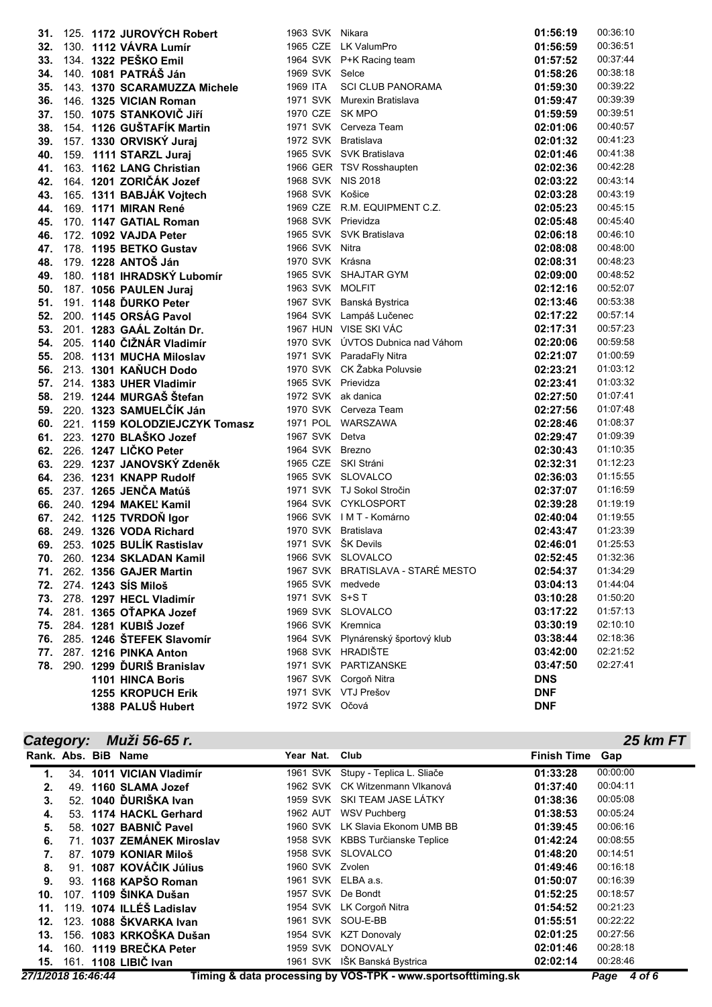| 31.        |  | 125. 1172 JUROVÝCH Robert                             | 1963 SVK Nikara     |                                                  | 01:56:19             | 00:36:10             |
|------------|--|-------------------------------------------------------|---------------------|--------------------------------------------------|----------------------|----------------------|
|            |  | 32. 130. 1112 VÁVRA Lumír                             |                     | 1965 CZE LK ValumPro                             | 01:56:59             | 00:36:51             |
|            |  | 33. 134. 1322 PEŠKO Emil                              |                     | 1964 SVK P+K Racing team                         | 01:57:52             | 00:37:44             |
| 34.        |  | 140. 1081 PATRÁŠ Ján                                  | 1969 SVK Selce      |                                                  | 01:58:26             | 00:38:18             |
| 35.        |  | 143. 1370 SCARAMUZZA Michele                          | 1969 ITA            | <b>SCI CLUB PANORAMA</b>                         | 01:59:30             | 00:39:22             |
| 36.        |  | 146. 1325 VICIAN Roman                                |                     | 1971 SVK Murexin Bratislava                      | 01:59:47             | 00:39:39             |
| 37.        |  | 150. 1075 STANKOVIČ JIří                              | 1970 CZE SK MPO     |                                                  | 01:59:59             | 00:39:51             |
| 38.        |  | 154. 1126 GUŠTAFÍK Martin                             |                     | 1971 SVK Cerveza Team                            | 02:01:06             | 00:40:57             |
| 39.        |  | 157. 1330 ORVISKÝ Juraj                               | 1972 SVK Bratislava |                                                  | 02:01:32             | 00:41:23             |
| 40.        |  | 159. 1111 STARZL Juraj                                |                     | 1965 SVK SVK Bratislava                          | 02:01:46             | 00:41:38             |
| 41.        |  | 163. 1162 LANG Christian                              |                     | 1966 GER TSV Rosshaupten                         | 02:02:36             | 00:42:28             |
| 42.        |  | 164. 1201 ZORIČÁK Jozef                               | 1968 SVK NIS 2018   |                                                  | 02:03:22             | 00:43:14             |
| 43.        |  | 165. 1311 BABJÁK Vojtech                              | 1968 SVK Košice     |                                                  | 02:03:28             | 00:43:19             |
| 44.        |  | 169. 1171 MIRAN René                                  |                     | 1969 CZE R.M. EQUIPMENT C.Z.                     | 02:05:23             | 00:45:15             |
| 45.        |  | 170. 1147 GATIAL Roman                                | 1968 SVK Prievidza  |                                                  | 02:05:48             | 00:45:40             |
| 46.        |  | 172. 1092 VAJDA Peter                                 |                     | 1965 SVK SVK Bratislava                          | 02:06:18             | 00:46:10             |
| 47.        |  | 178. 1195 BETKO Gustav                                | 1966 SVK Nitra      |                                                  | 02:08:08             | 00:48:00             |
| 48.        |  | 179. 1228 ANTOŠ Ján                                   | 1970 SVK Krásna     |                                                  | 02:08:31             | 00:48:23             |
|            |  | 49. 180. 1181 IHRADSKÝ Lubomír                        |                     | 1965 SVK SHAJTAR GYM                             | 02:09:00             | 00:48:52             |
| 50.        |  | 187. 1056 PAULEN Juraj                                | 1963 SVK MOLFIT     |                                                  | 02:12:16             | 00:52:07             |
| 51.        |  | 191. 1148 DURKO Peter                                 | 1967 SVK            | Banská Bystrica                                  | 02:13:46             | 00:53:38             |
| 52.        |  | 200. 1145 ORSÁG Pavol                                 |                     | 1964 SVK Lampáš Lučenec                          | 02:17:22             | 00:57:14             |
| 53.        |  | 201. 1283 GAÁL Zoltán Dr.                             |                     | 1967 HUN VISE SKI VÁC                            | 02:17:31             | 00:57:23             |
| 54.        |  | 205. 1140 ČIŽNÁR Vladimír                             |                     | 1970 SVK ÚVTOS Dubnica nad Váhom                 | 02:20:06             | 00:59:58             |
| 55.        |  | 208. 1131 MUCHA Miloslav                              |                     | 1971 SVK ParadaFly Nitra                         | 02:21:07             | 01:00:59             |
|            |  | 56. 213. 1301 KAŇUCH Dodo                             |                     | 1970 SVK CK Žabka Poluvsie                       | 02:23:21             | 01:03:12             |
|            |  | 57. 214. 1383 UHER Vladimir                           | 1965 SVK Prievidza  |                                                  | 02:23:41             | 01:03:32             |
|            |  | 58. 219. 1244 MURGAŠ Štefan                           | 1972 SVK ak danica  |                                                  | 02:27:50             | 01:07:41             |
| 59.        |  | 220. 1323 SAMUELČÍK Ján                               |                     | 1970 SVK Cerveza Team                            | 02:27:56             | 01:07:48             |
| 60.        |  | 221. 1159 KOLODZIEJCZYK Tomasz                        |                     | 1971 POL WARSZAWA                                | 02:28:46             | 01:08:37             |
| 61.        |  | 223. 1270 BLAŠKO Jozef                                | 1967 SVK            | Detva                                            | 02:29:47             | 01:09:39             |
| 62.        |  | 226. 1247 LIČKO Peter                                 | 1964 SVK Brezno     |                                                  | 02:30:43             | 01:10:35             |
| 63.        |  | 229. 1237 JANOVSKÝ Zdeněk                             |                     | 1965 CZE SKI Stráni                              | 02:32:31             | 01:12:23             |
| 64.        |  | 236. 1231 KNAPP Rudolf                                |                     | 1965 SVK SLOVALCO                                | 02:36:03             | 01:15:55             |
| 65.        |  | 237. 1265 JENČA Matúš                                 |                     | 1971 SVK TJ Sokol Stročin<br>1964 SVK CYKLOSPORT | 02:37:07             | 01:16:59             |
| 66.        |  | 240. 1294 MAKEL' Kamil                                |                     | 1966 SVK IMT-Komárno                             | 02:39:28             | 01:19:19             |
| 67.        |  | 242. 1125 TVRDOŇ Igor                                 |                     | 1970 SVK Bratislava                              | 02:40:04             | 01:19:55<br>01:23:39 |
| 68.<br>69. |  | 249. 1326 VODA Richard                                | 1971 SVK ŠK Devils  |                                                  | 02:43:47<br>02:46:01 | 01:25:53             |
|            |  | 253. 1025 BULÍK Rastislav                             |                     | 1966 SVK SLOVALCO                                | 02:52:45             | 01:32:36             |
| 70.        |  | 260. 1234 SKLADAN Kamil                               |                     | 1967 SVK BRATISLAVA - STARÉ MESTO                | 02:54:37             | 01:34:29             |
|            |  | 71. 262. 1356 GAJER Martin<br>72. 274. 1243 SÍS Miloš | 1965 SVK medvede    |                                                  | 03:04:13             | 01:44:04             |
|            |  | 73. 278. 1297 HECL Vladimír                           | 1971 SVK S+S T      |                                                  | 03:10:28             | 01:50:20             |
|            |  | 74. 281. 1365 OTAPKA Jozef                            |                     | 1969 SVK SLOVALCO                                | 03:17:22             | 01:57:13             |
|            |  | 75. 284. 1281 KUBIŠ Jozef                             |                     | 1966 SVK Kremnica                                | 03:30:19             | 02:10:10             |
|            |  | 76. 285. 1246 ŠTEFEK Slavomír                         |                     | 1964 SVK Plynárenský športový klub               | 03:38:44             | 02:18:36             |
| 77.        |  | 287. 1216 PINKA Anton                                 |                     | 1968 SVK HRADIŠTE                                | 03:42:00             | 02:21:52             |
| 78.        |  | 290. 1299 DURIŠ Branislav                             |                     | 1971 SVK PARTIZANSKE                             | 03:47:50             | 02:27:41             |
|            |  | 1101 HINCA Boris                                      |                     | 1967 SVK Corgoň Nitra                            | <b>DNS</b>           |                      |
|            |  | <b>1255 KROPUCH Erik</b>                              |                     | 1971 SVK VTJ Prešov                              | <b>DNF</b>           |                      |
|            |  | 1388 PALUŠ Hubert                                     | 1972 SVK Očová      |                                                  | <b>DNF</b>           |                      |
|            |  |                                                       |                     |                                                  |                      |                      |

### *Category: Muži 56-65 r.*

|     |  | Rank. Abs. BiB Name       | Year Nat.          | Club                               | <b>Finish Time</b> | Gap      |
|-----|--|---------------------------|--------------------|------------------------------------|--------------------|----------|
|     |  | 34. 1011 VICIAN Vladimír  |                    | 1961 SVK Stupy - Teplica L. Sliače | 01:33:28           | 00:00:00 |
| 2.  |  | 49. 1160 SLAMA Jozef      | 1962 SVK           | CK Witzenmann Vlkanová             | 01:37:40           | 00:04:11 |
| 3.  |  | 52. 1040 DURIŠKA Ivan     |                    | 1959 SVK SKI TEAM JASE LÁTKY       | 01:38:36           | 00:05:08 |
| 4.  |  | 53. 1174 HACKL Gerhard    | 1962 AUT           | <b>WSV Puchberg</b>                | 01:38:53           | 00:05:24 |
| 5.  |  | 58. 1027 BABNIC Pavel     |                    | 1960 SVK LK Slavia Ekonom UMB BB   | 01:39:45           | 00:06:16 |
| 6.  |  | 71. 1037 ZEMÁNEK Miroslav |                    | 1958 SVK KBBS Turčianske Teplice   | 01:42:24           | 00:08:55 |
|     |  | 87. 1079 KONIAR Miloš     |                    | 1958 SVK SLOVALCO                  | 01:48:20           | 00:14:51 |
| 8.  |  | 91. 1087 KOVÁČIK Július   | 1960 SVK Zvolen    |                                    | 01:49:46           | 00:16:18 |
| 9.  |  | 93. 1168 KAPŠO Roman      | 1961 SVK ELBA a.s. |                                    | 01:50:07           | 00:16:39 |
| 10. |  | 107. 1109 ŠINKA Dušan     | 1957 SVK           | De Bondt                           | 01:52:25           | 00:18:57 |
| 11. |  | 119. 1074 ILLÉŠ Ladislav  |                    | 1954 SVK LK Corgoň Nitra           | 01:54:52           | 00:21:23 |
| 12. |  | 123. 1088 ŠKVARKA Ivan    |                    | 1961 SVK SOU-E-BB                  | 01:55:51           | 00:22:22 |
| 13. |  | 156. 1083 KRKOŠKA Dušan   |                    | 1954 SVK KZT Donovaly              | 02:01:25           | 00:27:56 |
| 14. |  | 160. 1119 BREČKA Peter    | 1959 SVK           | <b>DONOVALY</b>                    | 02:01:46           | 00:28:18 |
|     |  | 15. 161. 1108 LIBIČ Ivan  |                    | 1961 SVK IŠK Banská Bystrica       | 02:02:14           | 00:28:46 |

*25 km FT*

*27/1/2018 16:46:44* **Timing & data processing by VOS-TPK - www.sportsofttiming.sk** *Page 4 of 6*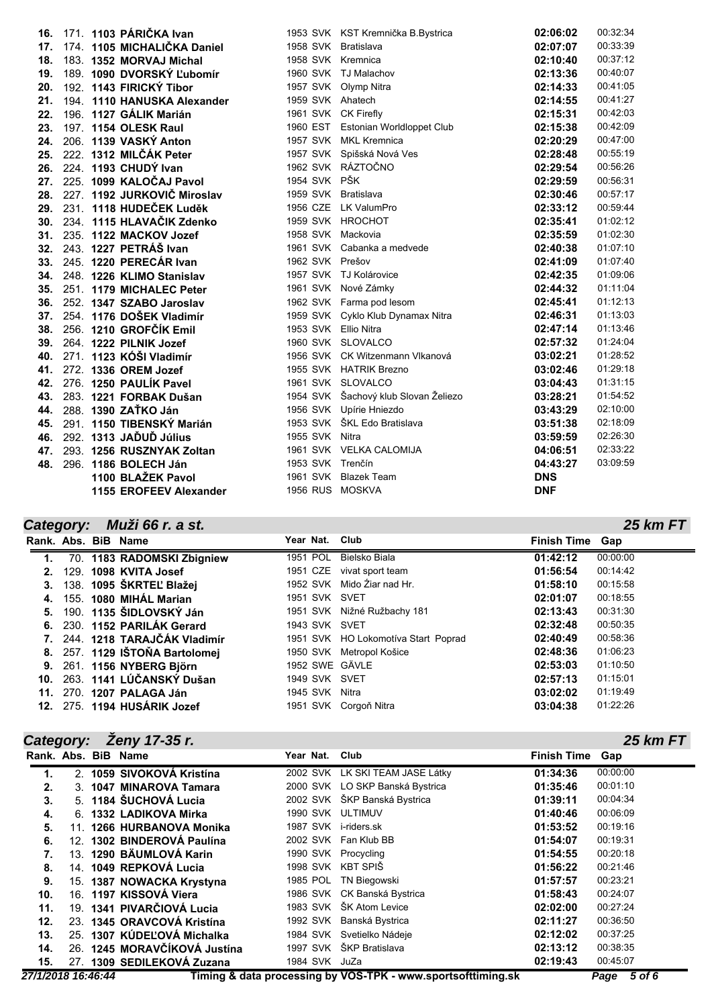| 16. | 171. 1103 PÁRIČKA Ivan        |                      | 1953 SVK KST Kremnička B.Bystrica  | 02:06:02   | 00:32:34 |
|-----|-------------------------------|----------------------|------------------------------------|------------|----------|
| 17. | 174. 1105 MICHALIČKA Daniel   | 1958 SVK Bratislava  |                                    | 02:07:07   | 00:33:39 |
| 18. | 183. 1352 MORVAJ Michal       | 1958 SVK Kremnica    |                                    | 02:10:40   | 00:37:12 |
| 19. | 189. 1090 DVORSKÝ Ľubomír     |                      | 1960 SVK TJ Malachov               | 02:13:36   | 00:40:07 |
| 20. | 192. 1143 FIRICKÝ Tibor       |                      | 1957 SVK Olymp Nitra               | 02:14:33   | 00:41:05 |
| 21. | 194. 1110 HANUSKA Alexander   | 1959 SVK Ahatech     |                                    | 02:14:55   | 00:41:27 |
| 22. | 196. 1127 GÁLIK Marián        | 1961 SVK CK Firefly  |                                    | 02:15:31   | 00:42:03 |
| 23. | 197. 1154 OLESK Raul          |                      | 1960 EST Estonian Worldloppet Club | 02:15:38   | 00:42:09 |
| 24. | 206. 1139 VASKÝ Anton         |                      | 1957 SVK MKL Kremnica              | 02:20:29   | 00:47:00 |
| 25. | 222. 1312 MILČÁK Peter        |                      | 1957 SVK Spišská Nová Ves          | 02:28:48   | 00:55:19 |
| 26. | 224. 1193 CHUDY Ivan          |                      | 1962 SVK RÁZTOČNO                  | 02:29:54   | 00:56:26 |
| 27. | 225. 1099 KALOČAJ Pavol       | 1954 SVK PŠK         |                                    | 02:29:59   | 00:56:31 |
| 28. | 227. 1192 JURKOVIČ Miroslav   | 1959 SVK Bratislava  |                                    | 02:30:46   | 00:57:17 |
| 29. | 231. 1118 HUDEČEK Luděk       |                      | 1956 CZE LK ValumPro               | 02:33:12   | 00:59:44 |
|     | 30. 234. 1115 HLAVAČIK Zdenko |                      | 1959 SVK HROCHOT                   | 02:35:41   | 01:02:12 |
| 31. | 235. 1122 MACKOV Jozef        | 1958 SVK Mackovia    |                                    | 02:35:59   | 01:02:30 |
| 32. | 243. 1227 PETRÁŠ Ivan         |                      | 1961 SVK Cabanka a medvede         | 02:40:38   | 01:07:10 |
| 33. | 245. 1220 PERECÁR Ivan        | 1962 SVK Prešov      |                                    | 02:41:09   | 01:07:40 |
| 34. | 248. 1226 KLIMO Stanislav     |                      | 1957 SVK TJ Kolárovice             | 02:42:35   | 01:09:06 |
| 35. | 251. 1179 MICHALEC Peter      |                      | 1961 SVK Nové Zámky                | 02:44:32   | 01:11:04 |
| 36. | 252. 1347 SZABO Jaroslav      |                      | 1962 SVK Farma pod lesom           | 02:45:41   | 01:12:13 |
| 37. | 254. 1176 DOŠEK Vladimír      |                      | 1959 SVK Cyklo Klub Dynamax Nitra  | 02:46:31   | 01:13:03 |
| 38. | 256. 1210 GROFČÍK Emil        | 1953 SVK Ellio Nitra |                                    | 02:47:14   | 01:13:46 |
| 39. | 264. 1222 PILNIK Jozef        |                      | 1960 SVK SLOVALCO                  | 02:57:32   | 01:24:04 |
| 40. | 271. 1123 KÓŠI Vladimír       |                      | 1956 SVK CK Witzenmann Vlkanová    | 03:02:21   | 01:28:52 |
| 41. | 272. 1336 OREM Jozef          |                      | 1955 SVK HATRIK Brezno             | 03:02:46   | 01:29:18 |
| 42. | 276. 1250 PAULÍK Pavel        |                      | 1961 SVK SLOVALCO                  | 03:04:43   | 01:31:15 |
| 43. | 283. 1221 FORBAK Dušan        | 1954 SVK             | Šachový klub Slovan Želiezo        | 03:28:21   | 01:54:52 |
| 44. | 288. 1390 ZAŤKO Ján           |                      | 1956 SVK Upírie Hniezdo            | 03:43:29   | 02:10:00 |
| 45. | 291. 1150 TIBENSKÝ Marián     |                      | 1953 SVK ŠKL Edo Bratislava        | 03:51:38   | 02:18:09 |
| 46. | 292. 1313 JAĎUĎ Július        | 1955 SVK Nitra       |                                    | 03:59:59   | 02:26:30 |
| 47. | 293. 1256 RUSZNYAK Zoltan     |                      | 1961 SVK VELKA CALOMIJA            | 04:06:51   | 02:33:22 |
| 48. | 296. 1186 BOLECH Ján          | 1953 SVK Trenčín     |                                    | 04:43:27   | 03:09:59 |
|     | 1100 BLAŽEK Pavol             |                      | 1961 SVK Blazek Team               | <b>DNS</b> |          |
|     | 1155 EROFEEV Alexander        | 1956 RUS MOSKVA      |                                    | <b>DNF</b> |          |

# *Category: Muži 66 r. a st.*

|    |  | Rank. Abs. BiB Name            | Year Nat. Club |                                     | <b>Finish Time Gap</b> |          |
|----|--|--------------------------------|----------------|-------------------------------------|------------------------|----------|
| 1. |  | 70. 1183 RADOMSKI Zbigniew     |                | 1951 POL Bielsko Biala              | 01:42:12               | 00:00:00 |
| 2. |  | 129. 1098 KVITA Josef          |                | 1951 CZE vivat sport team           | 01:56:54               | 00:14:42 |
|    |  | 138. 1095 ŠKRTEĽ Blažej        |                | 1952 SVK Mido Ziar nad Hr.          | 01:58:10               | 00:15:58 |
|    |  | 4. 155. 1080 MIHÁL Marian      | 1951 SVK SVET  |                                     | 02:01:07               | 00:18:55 |
| 5. |  | 190. 1135 ŠIDLOVSKÝ Ján        |                | 1951 SVK Nižné Ružbachy 181         | 02:13:43               | 00:31:30 |
|    |  | 6. 230. 1152 PARILÁK Gerard    | 1943 SVK SVET  |                                     | 02:32:48               | 00:50:35 |
|    |  | 7. 244. 1218 TARAJČÁK Vladimír |                | 1951 SVK HO Lokomotíva Start Poprad | 02:40:49               | 00:58:36 |
|    |  | 8. 257. 1129 IŠTOŇA Bartolomej |                | 1950 SVK Metropol Košice            | 02:48:36               | 01:06:23 |
|    |  | 9. 261. 1156 NYBERG Björn      | 1952 SWE GÄVLE |                                     | 02:53:03               | 01:10:50 |
|    |  | 10. 263. 1141 LÚČANSKÝ Dušan   | 1949 SVK SVET  |                                     | 02:57:13               | 01:15:01 |
|    |  | 11. 270. 1207 PALAGA Ján       | 1945 SVK Nitra |                                     | 03:02:02               | 01:19:49 |
|    |  | 12. 275. 1194 HUSÁRIK Jozef    |                | 1951 SVK Corgoň Nitra               | 03:04:38               | 01:22:26 |

# *Category: Ženy 17-35 r.*

| Rank. Abs. BiB Name |    |                              | Year Nat.         | Club                                               | <b>Finish Time</b> | Gap      |
|---------------------|----|------------------------------|-------------------|----------------------------------------------------|--------------------|----------|
| 1.                  |    | 2. 1059 SIVOKOVÁ Kristína    |                   | 2002 SVK LK SKI TEAM JASE Látky                    | 01:34:36           | 00:00:00 |
| 2.                  | 3. | 1047 MINAROVA Tamara         |                   | 2000 SVK LO SKP Banská Bystrica                    | 01:35:46           | 00:01:10 |
| 3.                  |    | 5. 1184 ŠUCHOVÁ Lucia        |                   | 2002 SVK ŠKP Banská Bystrica                       | 01:39:11           | 00:04:34 |
| 4.                  |    | 6. 1332 LADIKOVA Mirka       | 1990 SVK ULTIMUV  |                                                    | 01:40:46           | 00:06:09 |
| 5.                  |    | 11. 1266 HURBANOVA Monika    | 1987 SVK          | i-riders.sk                                        | 01:53:52           | 00:19:16 |
| 6.                  |    | 12. 1302 BINDEROVÁ Paulína   |                   | 2002 SVK Fan Klub BB                               | 01:54:07           | 00:19:31 |
|                     |    | 13. 1290 BÄUMLOVÁ Karin      |                   | 1990 SVK Procycling                                | 01:54:55           | 00:20:18 |
| 8.                  |    | 14. 1049 REPKOVÁ Lucia       | 1998 SVK KBT SPIŠ |                                                    | 01:56:22           | 00:21:46 |
| 9.                  |    | 15. 1387 NOWACKA Krystyna    | 1985 POL          | <b>TN Biegowski</b>                                | 01:57:57           | 00:23:21 |
| 10.                 |    | 16. 1197 KISSOVÁ Viera       |                   | 1986 SVK CK Banská Bystrica                        | 01:58:43           | 00:24:07 |
| 11.                 |    | 19. 1341 PIVARČIOVÁ Lucia    |                   | 1983 SVK ŠK Atom Levice                            | 02:02:00           | 00:27:24 |
| 12.                 |    | 23. 1345 ORAVCOVÁ Kristína   |                   | 1992 SVK Banská Bystrica                           | 02:11:27           | 00:36:50 |
| 13.                 |    | 25. 1307 KÚDEĽOVÁ Michalka   |                   | 1984 SVK Svetielko Nádeje                          | 02:12:02           | 00:37:25 |
| 14.                 |    | 26. 1245 MORAVČÍKOVÁ Justína |                   | 1997 SVK ŠKP Bratislava                            | 02:13:12           | 00:38:35 |
| 15.                 |    | 27. 1309 SEDILEKOVÁ Zuzana   | 1984 SVK JuZa     | the contract of the first state of the contract of | 02:19:43           | 00:45:07 |

*27/1/2018 16:46:44* **Timing & data processing by VOS-TPK - www.sportsofttiming.sk** *Page 5 of 6*

*25 km FT*

*25 km FT*